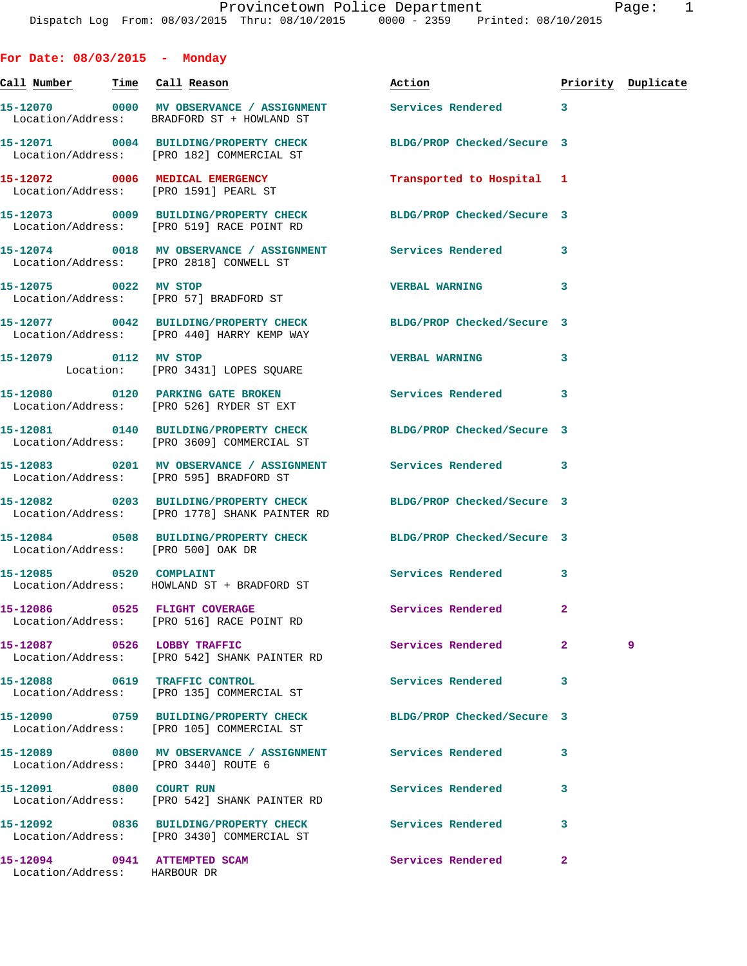**For Date: 08/03/2015 - Monday**

**Call Number Time Call Reason Action Priority Duplicate 15-12070 0000 MV OBSERVANCE / ASSIGNMENT Services Rendered 3**  Location/Address: BRADFORD ST + HOWLAND ST **15-12071 0004 BUILDING/PROPERTY CHECK BLDG/PROP Checked/Secure 3**  Location/Address: [PRO 182] COMMERCIAL ST **15-12072 0006 MEDICAL EMERGENCY Transported to Hospital 1**  Location/Address: [PRO 1591] PEARL ST **15-12073 0009 BUILDING/PROPERTY CHECK BLDG/PROP Checked/Secure 3**  Location/Address: [PRO 519] RACE POINT RD **15-12074 0018 MV OBSERVANCE / ASSIGNMENT Services Rendered 3**  Location/Address: [PRO 2818] CONWELL ST **15-12075 0022 MV STOP VERBAL WARNING 3**  Location/Address: [PRO 57] BRADFORD ST **15-12077 0042 BUILDING/PROPERTY CHECK BLDG/PROP Checked/Secure 3**  Location/Address: [PRO 440] HARRY KEMP WAY **15-12079 0112 MV STOP VERBAL WARNING 3**  Location: [PRO 3431] LOPES SQUARE **15-12080 0120 PARKING GATE BROKEN Services Rendered 3**  Location/Address: [PRO 526] RYDER ST EXT **15-12081 0140 BUILDING/PROPERTY CHECK BLDG/PROP Checked/Secure 3**  Location/Address: [PRO 3609] COMMERCIAL ST **15-12083 0201 MV OBSERVANCE / ASSIGNMENT Services Rendered 3**  Location/Address: [PRO 595] BRADFORD ST **15-12082 0203 BUILDING/PROPERTY CHECK BLDG/PROP Checked/Secure 3**  Location/Address: [PRO 1778] SHANK PAINTER RD **15-12084 0508 BUILDING/PROPERTY CHECK BLDG/PROP Checked/Secure 3**  Location/Address: [PRO 500] OAK DR 15-12085 0520 COMPLAINT Services Rendered 3 Location/Address: HOWLAND ST + BRADFORD ST **15-12086 0525 FLIGHT COVERAGE Services Rendered 2**  Location/Address: [PRO 516] RACE POINT RD **15-12087 0526 LOBBY TRAFFIC Services Rendered 2 9**  Location/Address: [PRO 542] SHANK PAINTER RD **15-12088 0619 TRAFFIC CONTROL Services Rendered 3**  Location/Address: [PRO 135] COMMERCIAL ST **15-12090 0759 BUILDING/PROPERTY CHECK BLDG/PROP Checked/Secure 3**  Location/Address: [PRO 105] COMMERCIAL ST **15-12089 0800 MV OBSERVANCE / ASSIGNMENT Services Rendered 3**  Location/Address: [PRO 3440] ROUTE 6 **15-12091 0800 COURT RUN Services Rendered 3**  Location/Address: [PRO 542] SHANK PAINTER RD **15-12092 0836 BUILDING/PROPERTY CHECK Services Rendered 3**  Location/Address: [PRO 3430] COMMERCIAL ST **15-12094 0941 ATTEMPTED SCAM Services Rendered 2**  Location/Address: HARBOUR DR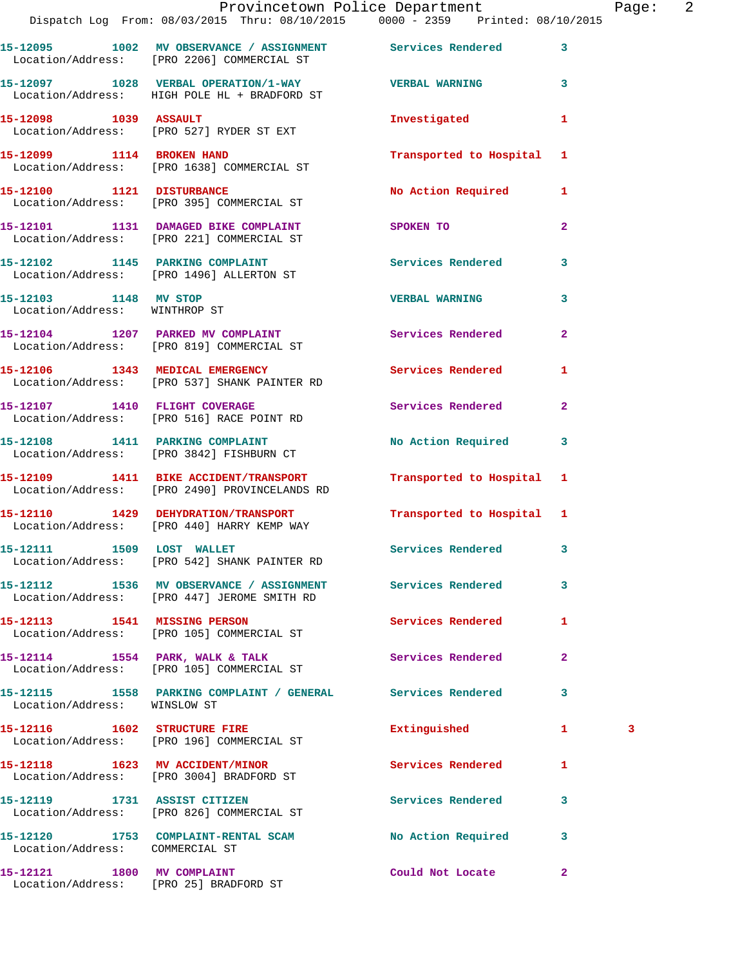|                                                        | Dispatch Log From: 08/03/2015 Thru: 08/10/2015 0000 - 2359 Printed: 08/10/2015                             | Provincetown Police Department |                | Page: 2 |  |
|--------------------------------------------------------|------------------------------------------------------------------------------------------------------------|--------------------------------|----------------|---------|--|
|                                                        | 15-12095 1002 MV OBSERVANCE / ASSIGNMENT Services Rendered 3<br>Location/Address: [PRO 2206] COMMERCIAL ST |                                |                |         |  |
|                                                        | 15-12097 1028 VERBAL OPERATION/1-WAY VERBAL WARNING 3<br>Location/Address: HIGH POLE HL + BRADFORD ST      |                                |                |         |  |
|                                                        | 15-12098 1039 ASSAULT<br>Location/Address: [PRO 527] RYDER ST EXT                                          | Investigated                   | $\mathbf{1}$   |         |  |
|                                                        | 15-12099 1114 BROKEN HAND<br>Location/Address: [PRO 1638] COMMERCIAL ST                                    | Transported to Hospital 1      |                |         |  |
|                                                        | 15-12100 1121 DISTURBANCE<br>Location/Address: [PRO 395] COMMERCIAL ST                                     | No Action Required 1           |                |         |  |
|                                                        | 15-12101 1131 DAMAGED BIKE COMPLAINT SPOKEN TO<br>Location/Address: [PRO 221] COMMERCIAL ST                |                                | $\mathbf{2}$   |         |  |
|                                                        | 15-12102 1145 PARKING COMPLAINT<br>Location/Address: [PRO 1496] ALLERTON ST                                | Services Rendered 3            |                |         |  |
| 15-12103 1148 MV STOP<br>Location/Address: WINTHROP ST |                                                                                                            | <b>VERBAL WARNING</b>          | $\mathbf{3}$   |         |  |
|                                                        | 15-12104 1207 PARKED MV COMPLAINT Services Rendered 2<br>Location/Address: [PRO 819] COMMERCIAL ST         |                                |                |         |  |
|                                                        | 15-12106 1343 MEDICAL EMERGENCY Services Rendered<br>Location/Address: [PRO 537] SHANK PAINTER RD          |                                | 1              |         |  |
|                                                        | 15-12107 1410 FLIGHT COVERAGE<br>Location/Address: [PRO 516] RACE POINT RD                                 | Services Rendered              | $\overline{2}$ |         |  |
|                                                        | 15-12108 1411 PARKING COMPLAINT<br>Location/Address: [PRO 3842] FISHBURN CT                                | No Action Required 3           |                |         |  |
|                                                        | 15-12109 1411 BIKE ACCIDENT/TRANSPORT<br>Location/Address: [PRO 2490] PROVINCELANDS RD                     | Transported to Hospital 1      |                |         |  |
|                                                        | 15-12110 1429 DEHYDRATION/TRANSPORT<br>Location/Address: [PRO 440] HARRY KEMP WAY                          | Transported to Hospital 1      |                |         |  |
| 15-12111 1509 LOST WALLET                              | Location/Address: [PRO 542] SHANK PAINTER RD                                                               | Services Rendered 3            |                |         |  |
|                                                        | 15-12112 1536 MV OBSERVANCE / ASSIGNMENT Services Rendered<br>Location/Address: [PRO 447] JEROME SMITH RD  |                                | $\mathbf{3}$   |         |  |
|                                                        | 15-12113 1541 MISSING PERSON<br>Location/Address: [PRO 105] COMMERCIAL ST                                  | Services Rendered 1            |                |         |  |
|                                                        | 15-12114 1554 PARK, WALK & TALK<br>Location/Address: [PRO 105] COMMERCIAL ST                               | <b>Services Rendered</b>       | $\mathbf{2}$   |         |  |
| Location/Address: WINSLOW ST                           | 15-12115 1558 PARKING COMPLAINT / GENERAL Services Rendered 3                                              |                                |                |         |  |
|                                                        | 15-12116 1602 STRUCTURE FIRE<br>Location/Address: [PRO 196] COMMERCIAL ST                                  | Extinguished                   | $\mathbf{1}$   | 3       |  |
|                                                        | 15-12118 1623 MV ACCIDENT/MINOR<br>Location/Address: [PRO 3004] BRADFORD ST                                | <b>Services Rendered</b>       | 1              |         |  |
|                                                        | 15-12119 1731 ASSIST CITIZEN<br>Location/Address: [PRO 826] COMMERCIAL ST                                  | Services Rendered              | 3              |         |  |
| Location/Address: COMMERCIAL ST                        | 15-12120 1753 COMPLAINT-RENTAL SCAM No Action Required 3                                                   |                                |                |         |  |
| 15-12121 1800 MV COMPLAINT                             |                                                                                                            | Could Not Locate 2             |                |         |  |

Location/Address: [PRO 25] BRADFORD ST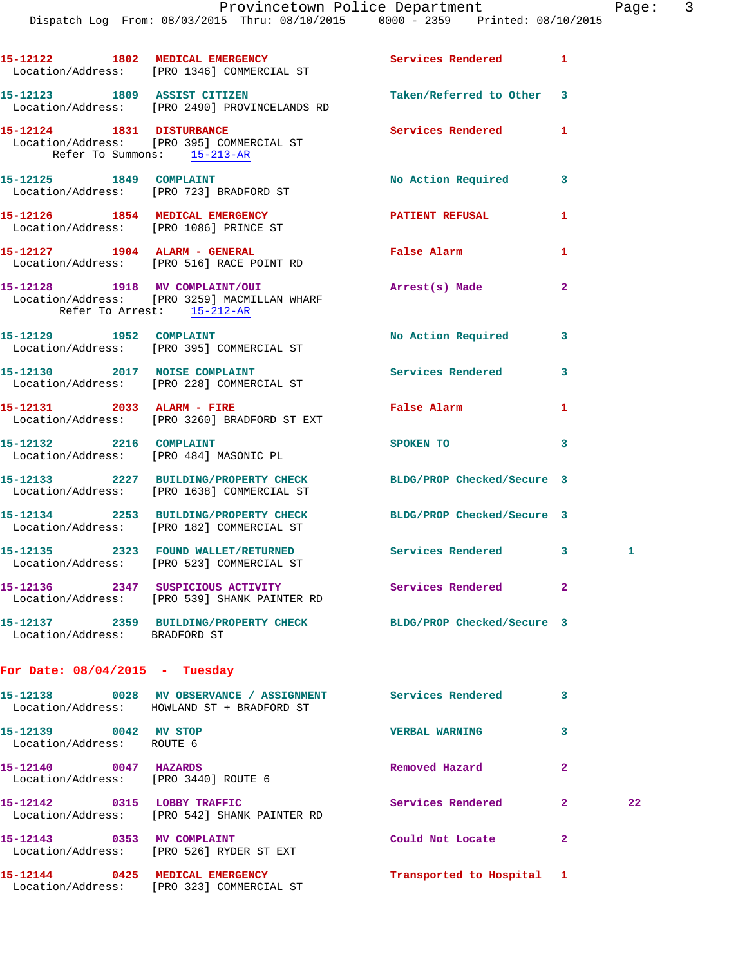|                                                               | 15-12122 1802 MEDICAL EMERGENCY<br>Location/Address: [PRO 1346] COMMERCIAL ST                            | Services Rendered          | $\mathbf{1}$            |    |
|---------------------------------------------------------------|----------------------------------------------------------------------------------------------------------|----------------------------|-------------------------|----|
|                                                               | 15-12123 1809 ASSIST CITIZEN<br>Location/Address: [PRO 2490] PROVINCELANDS RD                            | Taken/Referred to Other 3  |                         |    |
| Refer To Summons: 15-213-AR                                   | 15-12124 1831 DISTURBANCE<br>Location/Address: [PRO 395] COMMERCIAL ST                                   | Services Rendered          | $\mathbf{1}$            |    |
|                                                               | 15-12125 1849 COMPLAINT<br>Location/Address: [PRO 723] BRADFORD ST                                       | No Action Required         | $\mathbf{3}$            |    |
|                                                               | 15-12126 1854 MEDICAL EMERGENCY<br>Location/Address: [PRO 1086] PRINCE ST                                | PATIENT REFUSAL            | 1                       |    |
|                                                               | 15-12127 1904 ALARM - GENERAL<br>Location/Address: [PRO 516] RACE POINT RD                               | False Alarm                | 1                       |    |
| Refer To Arrest: 15-212-AR                                    | 15-12128 1918 MV COMPLAINT/OUI<br>Location/Address: [PRO 3259] MACMILLAN WHARF                           | Arrest(s) Made             | $\overline{2}$          |    |
|                                                               | 15-12129    1952    COMPLAINT<br>Location/Address: [PRO 395] COMMERCIAL ST                               | No Action Required         | $\mathbf{3}$            |    |
|                                                               | 15-12130 2017 NOISE COMPLAINT<br>Location/Address: [PRO 228] COMMERCIAL ST                               | <b>Services Rendered</b>   | 3                       |    |
|                                                               | 15-12131 2033 ALARM - FIRE<br>Location/Address: [PRO 3260] BRADFORD ST EXT                               | False Alarm                | 1                       |    |
|                                                               | 15-12132 2216 COMPLAINT<br>Location/Address: [PRO 484] MASONIC PL                                        | SPOKEN TO                  | $\overline{\mathbf{3}}$ |    |
|                                                               | 15-12133 2227 BUILDING/PROPERTY CHECK<br>Location/Address: [PRO 1638] COMMERCIAL ST                      | BLDG/PROP Checked/Secure 3 |                         |    |
|                                                               | 15-12134 2253 BUILDING/PROPERTY CHECK<br>Location/Address: [PRO 182] COMMERCIAL ST                       | BLDG/PROP Checked/Secure 3 |                         |    |
|                                                               | 15-12135 2323 FOUND WALLET/RETURNED<br>Location/Address: [PRO 523] COMMERCIAL ST                         | Services Rendered 3        |                         | 1. |
|                                                               | 15-12136 2347 SUSPICIOUS ACTIVITY Services Rendered 2<br>Location/Address: [PRO 539] SHANK PAINTER RD    |                            |                         |    |
| Location/Address: BRADFORD ST                                 | 15-12137 2359 BUILDING/PROPERTY CHECK BLDG/PROP Checked/Secure 3                                         |                            |                         |    |
| For Date: $08/04/2015$ - Tuesday                              |                                                                                                          |                            |                         |    |
|                                                               | 15-12138 0028 MV OBSERVANCE / ASSIGNMENT Services Rendered<br>Location/Address: HOWLAND ST + BRADFORD ST |                            | 3                       |    |
| 15-12139 0042 MV STOP<br>Location/Address: ROUTE 6            |                                                                                                          | <b>VERBAL WARNING</b>      | 3                       |    |
| 15-12140 0047 HAZARDS<br>Location/Address: [PRO 3440] ROUTE 6 |                                                                                                          | Removed Hazard             | $\mathbf{2}$            |    |
|                                                               | 15-12142 0315 LOBBY TRAFFIC<br>Location/Address: [PRO 542] SHANK PAINTER RD                              | Services Rendered          | $\mathbf{2}$            | 22 |
| 15-12143 0353 MV COMPLAINT                                    | Location/Address: [PRO 526] RYDER ST EXT                                                                 | Could Not Locate           | $\overline{2}$          |    |
|                                                               | 15-12144 0425 MEDICAL EMERGENCY<br>Location/Address: [PRO 323] COMMERCIAL ST                             | Transported to Hospital 1  |                         |    |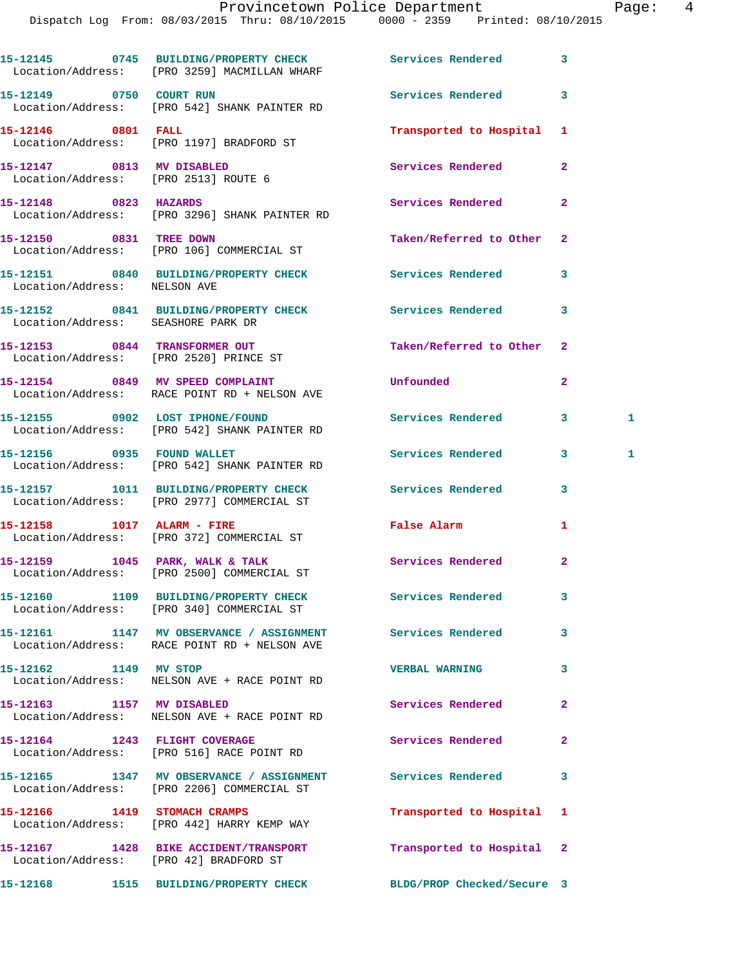Dispatch Log From: 08/03/2015 Thru: 08/10/2015 0000 - 2359 Printed: 08/10/2015

|                                    | 15-12145 0745 BUILDING/PROPERTY CHECK Services Rendered<br>Location/Address: [PRO 3259] MACMILLAN WHARF    |                           | 3                 |
|------------------------------------|------------------------------------------------------------------------------------------------------------|---------------------------|-------------------|
|                                    | 15-12149 0750 COURT RUN<br>Location/Address: [PRO 542] SHANK PAINTER RD                                    | Services Rendered         | 3                 |
| 15-12146 0801 FALL                 | Location/Address: [PRO 1197] BRADFORD ST                                                                   | Transported to Hospital 1 |                   |
|                                    | 15-12147 0813 MV DISABLED<br>Location/Address: [PRO 2513] ROUTE 6                                          | Services Rendered         | $\overline{2}$    |
| 15-12148 0823 HAZARDS              | Location/Address: [PRO 3296] SHANK PAINTER RD                                                              | Services Rendered         | $\overline{2}$    |
|                                    | 15-12150 0831 TREE DOWN<br>Location/Address: [PRO 106] COMMERCIAL ST                                       | Taken/Referred to Other   | $\overline{2}$    |
| Location/Address: NELSON AVE       | 15-12151 0840 BUILDING/PROPERTY CHECK Services Rendered                                                    |                           | 3                 |
| Location/Address: SEASHORE PARK DR | 15-12152 0841 BUILDING/PROPERTY CHECK Services Rendered                                                    |                           | 3                 |
|                                    | 15-12153 0844 TRANSFORMER OUT<br>Location/Address: [PRO 2520] PRINCE ST                                    | Taken/Referred to Other 2 |                   |
|                                    | 15-12154 0849 MV SPEED COMPLAINT<br>Location/Address: RACE POINT RD + NELSON AVE                           | Unfounded                 | $\overline{2}$    |
|                                    | 15-12155 0902 LOST IPHONE/FOUND<br>Location/Address: [PRO 542] SHANK PAINTER RD                            | Services Rendered         | $\mathbf{3}$<br>1 |
|                                    | 15-12156 0935 FOUND WALLET<br>Location/Address: [PRO 542] SHANK PAINTER RD                                 | Services Rendered         | $3 -$<br>1        |
|                                    | 15-12157 1011 BUILDING/PROPERTY CHECK Services Rendered<br>Location/Address: [PRO 2977] COMMERCIAL ST      |                           | 3                 |
|                                    | 15-12158 1017 ALARM - FIRE<br>Location/Address: [PRO 372] COMMERCIAL ST                                    | False Alarm               | 1                 |
|                                    | 15-12159 1045 PARK, WALK & TALK<br>Location/Address: [PRO 2500] COMMERCIAL ST                              | Services Rendered         | $\mathbf{2}$      |
|                                    | 15-12160 1109 BUILDING/PROPERTY CHECK<br>Location/Address: [PRO 340] COMMERCIAL ST                         | Services Rendered         | 3                 |
|                                    | 15-12161 1147 MV OBSERVANCE / ASSIGNMENT Services Rendered<br>Location/Address: RACE POINT RD + NELSON AVE |                           | 3                 |
| 15-12162 1149 MV STOP              | Location/Address: NELSON AVE + RACE POINT RD                                                               | <b>VERBAL WARNING</b>     | 3                 |
| 15-12163 1157 MV DISABLED          | Location/Address: NELSON AVE + RACE POINT RD                                                               | Services Rendered         | $\mathbf{2}$      |
|                                    | 15-12164 1243 FLIGHT COVERAGE<br>Location/Address: [PRO 516] RACE POINT RD                                 | Services Rendered         | $\mathbf{2}$      |
|                                    | 15-12165 1347 MV OBSERVANCE / ASSIGNMENT<br>Location/Address: [PRO 2206] COMMERCIAL ST                     | Services Rendered         | 3                 |
|                                    | 15-12166 1419 STOMACH CRAMPS<br>Location/Address: [PRO 442] HARRY KEMP WAY                                 | Transported to Hospital 1 |                   |
|                                    | 15-12167 1428 BIKE ACCIDENT/TRANSPORT<br>Location/Address: [PRO 42] BRADFORD ST                            | Transported to Hospital   | $\mathbf{2}$      |
|                                    | 15-12168 1515 BUILDING/PROPERTY CHECK BLDG/PROP Checked/Secure 3                                           |                           |                   |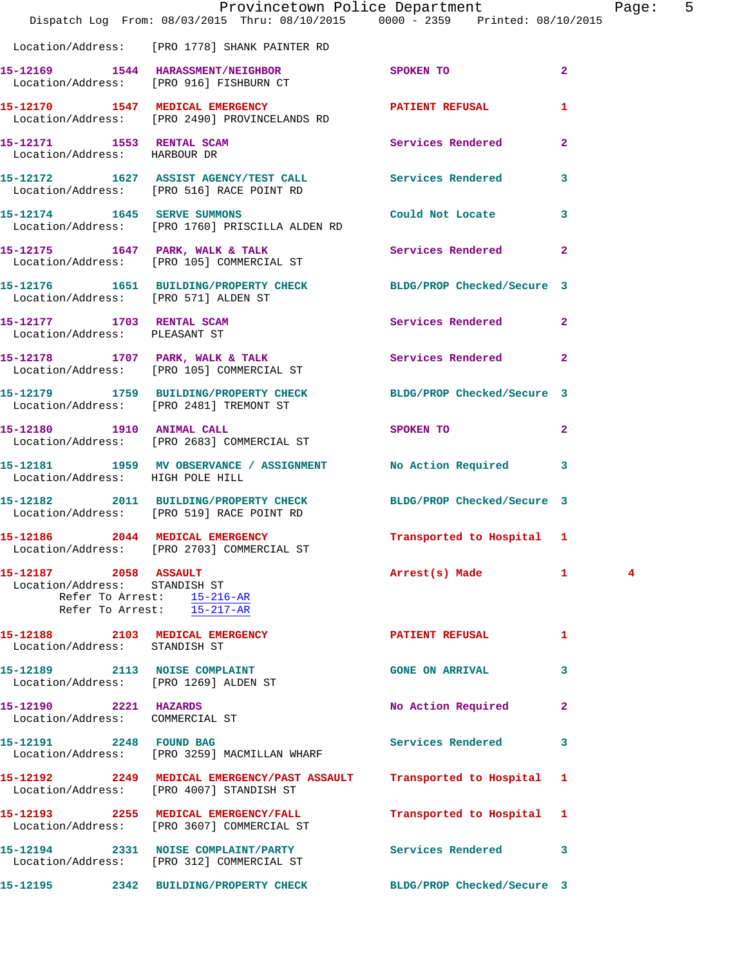|                                                           | Dispatch Log From: 08/03/2015 Thru: 08/10/2015 0000 - 2359 Printed: 08/10/2015                                | Provincetown Police Department                                                                                 |                | Page: 5 |  |
|-----------------------------------------------------------|---------------------------------------------------------------------------------------------------------------|----------------------------------------------------------------------------------------------------------------|----------------|---------|--|
|                                                           | Location/Address: [PRO 1778] SHANK PAINTER RD                                                                 |                                                                                                                |                |         |  |
|                                                           | 15-12169 1544 HARASSMENT/NEIGHBOR SPOKEN TO<br>Location/Address: [PRO 916] FISHBURN CT                        |                                                                                                                | $\overline{2}$ |         |  |
|                                                           | 15-12170 1547 MEDICAL EMERGENCY<br>Location/Address: [PRO 2490] PROVINCELANDS RD                              | PATIENT REFUSAL                                                                                                | 1.             |         |  |
| 15-12171 1553 RENTAL SCAM<br>Location/Address: HARBOUR DR |                                                                                                               | Services Rendered                                                                                              | $\mathbf{2}$   |         |  |
|                                                           | 15-12172 1627 ASSIST AGENCY/TEST CALL Services Rendered 3<br>Location/Address: [PRO 516] RACE POINT RD        |                                                                                                                |                |         |  |
|                                                           | 15-12174 1645 SERVE SUMMONS<br>Location/Address: [PRO 1760] PRISCILLA ALDEN RD                                | Could Not Locate 3                                                                                             |                |         |  |
|                                                           | 15-12175 1647 PARK, WALK & TALK 5 Services Rendered 2<br>Location/Address: [PRO 105] COMMERCIAL ST            |                                                                                                                |                |         |  |
|                                                           | 15-12176 1651 BUILDING/PROPERTY CHECK BLDG/PROP Checked/Secure 3<br>Location/Address: [PRO 571] ALDEN ST      |                                                                                                                |                |         |  |
| Location/Address: PLEASANT ST                             | 15-12177 1703 RENTAL SCAM                                                                                     | Services Rendered 2                                                                                            |                |         |  |
|                                                           | 15-12178 1707 PARK, WALK & TALK 1988 Services Rendered 2<br>Location/Address: [PRO 105] COMMERCIAL ST         |                                                                                                                |                |         |  |
|                                                           | 15-12179 1759 BUILDING/PROPERTY CHECK BLDG/PROP Checked/Secure 3<br>Location/Address: [PRO 2481] TREMONT ST   |                                                                                                                |                |         |  |
| 15-12180 1910 ANIMAL CALL                                 | Location/Address: [PRO 2683] COMMERCIAL ST                                                                    | SPOKEN TO AND TO A RESIDENCE OF A RESIDENCE OF A RESIDENCE OF A RESIDENCE OF A RESIDENCE OF A RESIDENCE OF A R | $\mathbf{2}$   |         |  |
| Location/Address: HIGH POLE HILL                          | 15-12181 1959 MV OBSERVANCE / ASSIGNMENT No Action Required 3                                                 |                                                                                                                |                |         |  |
|                                                           | 15-12182 2011 BUILDING/PROPERTY CHECK BLDG/PROP Checked/Secure 3<br>Location/Address: [PRO 519] RACE POINT RD |                                                                                                                |                |         |  |
|                                                           | 15-12186 2044 MEDICAL EMERGENCY<br>Location/Address: [PRO 2703] COMMERCIAL ST                                 | Transported to Hospital 1                                                                                      |                |         |  |
| 15-12187 2058 ASSAULT<br>Location/Address: STANDISH ST    | Refer To Arrest:<br>Refer To Arrest: 15-217-AR                                                                | Arrest(s) Made 1                                                                                               |                | 4       |  |
| Location/Address: STANDISH ST                             | 15-12188 2103 MEDICAL EMERGENCY                                                                               | <b>PATIENT REFUSAL</b>                                                                                         | 1              |         |  |
| Location/Address: [PRO 1269] ALDEN ST                     | 15-12189 2113 NOISE COMPLAINT                                                                                 | <b>GONE ON ARRIVAL</b>                                                                                         | 3              |         |  |
| 15-12190 2221 HAZARDS<br>Location/Address: COMMERCIAL ST  |                                                                                                               | No Action Required                                                                                             | 2              |         |  |
| 15-12191 2248 FOUND BAG                                   | Location/Address: [PRO 3259] MACMILLAN WHARF                                                                  | <b>Services Rendered</b>                                                                                       | 3              |         |  |
|                                                           | 15-12192 2249 MEDICAL EMERGENCY/PAST ASSAULT<br>Location/Address: [PRO 4007] STANDISH ST                      | Transported to Hospital 1                                                                                      |                |         |  |
|                                                           | 15-12193 2255 MEDICAL EMERGENCY/FALL<br>Location/Address: [PRO 3607] COMMERCIAL ST                            | Transported to Hospital 1                                                                                      |                |         |  |
|                                                           | 15-12194 2331 NOISE COMPLAINT/PARTY<br>Location/Address: [PRO 312] COMMERCIAL ST                              | Services Rendered 3                                                                                            |                |         |  |
|                                                           | 15-12195 2342 BUILDING/PROPERTY CHECK                                                                         | BLDG/PROP Checked/Secure 3                                                                                     |                |         |  |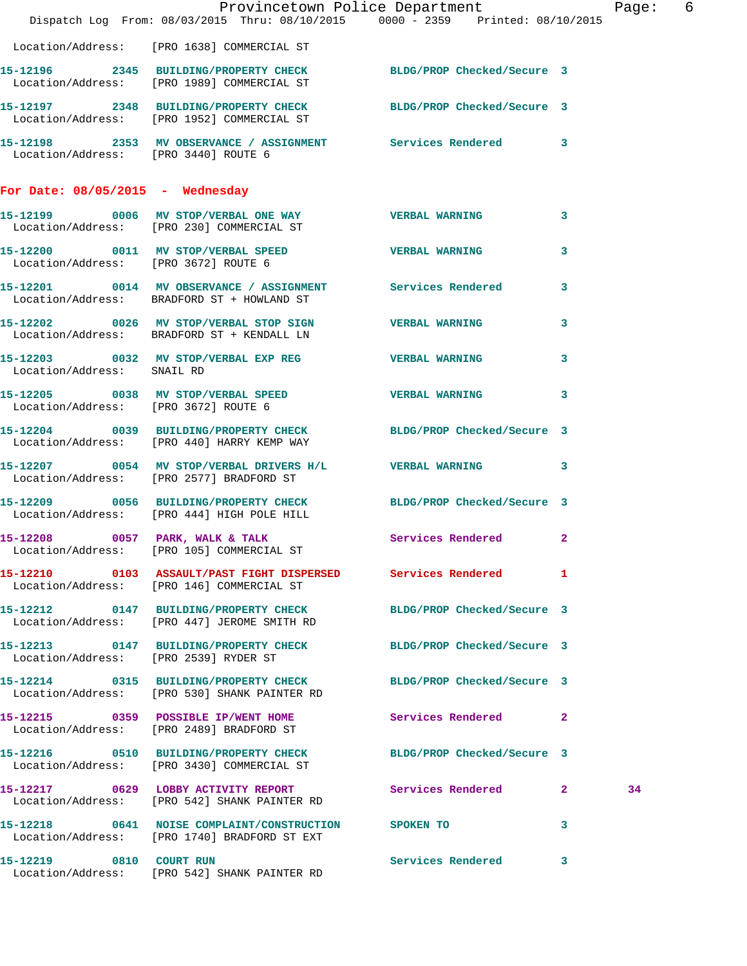|                                      | Provincetown Police Department<br>Dispatch Log From: 08/03/2015 Thru: 08/10/2015 0000 - 2359 Printed: 08/10/2015 |                     |                         | Page: 6 |  |
|--------------------------------------|------------------------------------------------------------------------------------------------------------------|---------------------|-------------------------|---------|--|
|                                      | Location/Address: [PRO 1638] COMMERCIAL ST                                                                       |                     |                         |         |  |
|                                      | 15-12196 2345 BUILDING/PROPERTY CHECK BLDG/PROP Checked/Secure 3<br>Location/Address: [PRO 1989] COMMERCIAL ST   |                     |                         |         |  |
|                                      | 15-12197 2348 BUILDING/PROPERTY CHECK BLDG/PROP Checked/Secure 3<br>Location/Address: [PRO 1952] COMMERCIAL ST   |                     |                         |         |  |
| Location/Address: [PRO 3440] ROUTE 6 | 15-12198 2353 MV OBSERVANCE / ASSIGNMENT Services Rendered 3                                                     |                     |                         |         |  |
| For Date: $08/05/2015$ - Wednesday   |                                                                                                                  |                     |                         |         |  |
|                                      | 15-12199 0006 MV STOP/VERBAL ONE WAY WERBAL WARNING 3<br>Location/Address: [PRO 230] COMMERCIAL ST               |                     |                         |         |  |
| Location/Address: [PRO 3672] ROUTE 6 | 15-12200 0011 MV STOP/VERBAL SPEED WERBAL WARNING                                                                |                     | $\overline{\mathbf{3}}$ |         |  |
|                                      | 15-12201 0014 MV OBSERVANCE / ASSIGNMENT Services Rendered 3<br>Location/Address: BRADFORD ST + HOWLAND ST       |                     |                         |         |  |
|                                      | 15-12202 0026 MV STOP/VERBAL STOP SIGN VERBAL WARNING<br>Location/Address: BRADFORD ST + KENDALL LN              |                     | 3                       |         |  |
| Location/Address: SNAIL RD           | 15-12203 0032 MV STOP/VERBAL EXP REG WERBAL WARNING                                                              |                     | $\mathbf{3}$            |         |  |
| Location/Address: [PRO 3672] ROUTE 6 | 15-12205 0038 MV STOP/VERBAL SPEED WERBAL WARNING 3                                                              |                     |                         |         |  |
|                                      | 15-12204 0039 BUILDING/PROPERTY CHECK BLDG/PROP Checked/Secure 3<br>Location/Address: [PRO 440] HARRY KEMP WAY   |                     |                         |         |  |
|                                      | 15-12207 0054 MV STOP/VERBAL DRIVERS H/L VERBAL WARNING 3<br>Location/Address: [PRO 2577] BRADFORD ST            |                     |                         |         |  |
|                                      | 15-12209 0056 BUILDING/PROPERTY CHECK BLDG/PROP Checked/Secure 3<br>Location/Address: [PRO 444] HIGH POLE HILL   |                     |                         |         |  |
|                                      | 15-12208 0057 PARK, WALK & TALK Services Rendered 2<br>Location/Address: [PRO 105] COMMERCIAL ST                 |                     |                         |         |  |
|                                      | 15-12210 0103 ASSAULT/PAST FIGHT DISPERSED Services Rendered 1<br>Location/Address: [PRO 146] COMMERCIAL ST      |                     |                         |         |  |
|                                      | 15-12212 0147 BUILDING/PROPERTY CHECK BLDG/PROP Checked/Secure 3<br>Location/Address: [PRO 447] JEROME SMITH RD  |                     |                         |         |  |
|                                      | 15-12213 0147 BUILDING/PROPERTY CHECK BLDG/PROP Checked/Secure 3<br>Location/Address: [PRO 2539] RYDER ST        |                     |                         |         |  |
|                                      | 15-12214 0315 BUILDING/PROPERTY CHECK BLDG/PROP Checked/Secure 3<br>Location/Address: [PRO 530] SHANK PAINTER RD |                     |                         |         |  |
|                                      | 15-12215 0359 POSSIBLE IP/WENT HOME<br>Location/Address: [PRO 2489] BRADFORD ST                                  | Services Rendered 2 |                         |         |  |
|                                      | 15-12216 0510 BUILDING/PROPERTY CHECK BLDG/PROP Checked/Secure 3<br>Location/Address: [PRO 3430] COMMERCIAL ST   |                     |                         |         |  |
|                                      | 15-12217 0629 LOBBY ACTIVITY REPORT Services Rendered 2<br>Location/Address: [PRO 542] SHANK PAINTER RD          |                     |                         | 34      |  |
|                                      | 15-12218 0641 NOISE COMPLAINT/CONSTRUCTION SPOKEN TO 3<br>Location/Address: [PRO 1740] BRADFORD ST EXT           |                     |                         |         |  |
| 15-12219 0810 COURT RUN              | Location/Address: [PRO 542] SHANK PAINTER RD                                                                     | Services Rendered 3 |                         |         |  |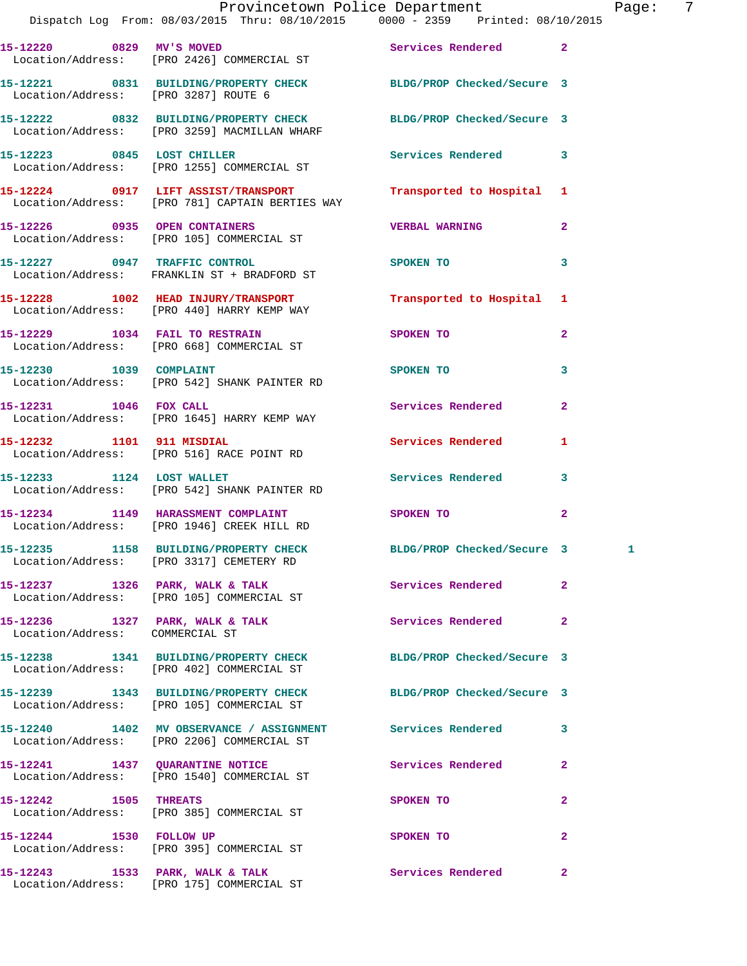|                                      | Provincetown Police Department Fage: 7<br>Dispatch Log From: 08/03/2015 Thru: 08/10/2015 0000 - 2359 Printed: 08/10/2015 |                                                                   |                |  |
|--------------------------------------|--------------------------------------------------------------------------------------------------------------------------|-------------------------------------------------------------------|----------------|--|
|                                      | 15-12220 0829 MV'S MOVED Services Rendered 2<br>Location/Address: [PRO 2426] COMMERCIAL ST                               |                                                                   |                |  |
| Location/Address: [PRO 3287] ROUTE 6 | 15-12221 0831 BUILDING/PROPERTY CHECK BLDG/PROP Checked/Secure 3                                                         |                                                                   |                |  |
|                                      | 15-12222 0832 BUILDING/PROPERTY CHECK BLDG/PROP Checked/Secure 3<br>Location/Address: [PRO 3259] MACMILLAN WHARF         |                                                                   |                |  |
|                                      | 15-12223 0845 LOST CHILLER Services Rendered 3<br>Location/Address: [PRO 1255] COMMERCIAL ST                             |                                                                   |                |  |
|                                      | 15-12224     0917   LIFT ASSIST/TRANSPORT<br>Location/Address:   [PRO 781]CAPTAIN BERTIES WAY                            | Transported to Hospital 1                                         |                |  |
|                                      | 15-12226 0935 OPEN CONTAINERS<br>Location/Address: [PRO 105] COMMERCIAL ST                                               | <b>VERBAL WARNING</b>                                             | $\mathbf{2}$   |  |
|                                      | 15-12227 0947 TRAFFIC CONTROL<br>Location/Address: FRANKLIN ST + BRADFORD ST                                             | <b>SPOKEN TO</b>                                                  | 3              |  |
|                                      | 15-12228 1002 HEAD INJURY/TRANSPORT Transported to Hospital 1<br>Location/Address: [PRO 440] HARRY KEMP WAY              |                                                                   |                |  |
|                                      | 15-12229 1034 FAIL TO RESTRAIN<br>Location/Address: [PRO 668] COMMERCIAL ST                                              | SPOKEN TO                                                         | $\overline{2}$ |  |
|                                      | 15-12230 1039 COMPLAINT<br>Location/Address: [PRO 542] SHANK PAINTER RD                                                  | SPOKEN TO                                                         | 3              |  |
| 15-12231 1046 FOX CALL               | Location/Address: [PRO 1645] HARRY KEMP WAY                                                                              | Services Rendered                                                 | $\overline{2}$ |  |
|                                      | 15-12232 1101 911 MISDIAL<br>Location/Address: [PRO 516] RACE POINT RD                                                   | <b>Services Rendered</b>                                          | 1              |  |
| 15-12233 1124 LOST WALLET            | Location/Address: [PRO 542] SHANK PAINTER RD                                                                             | Services Rendered                                                 | $\mathbf{3}$   |  |
|                                      | 15-12234 1149 HARASSMENT COMPLAINT<br>Location/Address: [PRO 1946] CREEK HILL RD                                         | SPOKEN TO AND TO A STRUCK TO A THING OF THE STRUCK OF THE STRUCK. | $\overline{2}$ |  |
|                                      | 15-12235 1158 BUILDING/PROPERTY CHECK<br>Location/Address: [PRO 3317] CEMETERY RD                                        | BLDG/PROP Checked/Secure 3                                        |                |  |
|                                      | 15-12237 1326 PARK, WALK & TALK Services Rendered<br>Location/Address: [PRO 105] COMMERCIAL ST                           |                                                                   | $\mathbf{2}$   |  |
| Location/Address: COMMERCIAL ST      | 15-12236 1327 PARK, WALK & TALK                                                                                          | Services Rendered                                                 | $\mathbf{2}$   |  |
|                                      | 15-12238 1341 BUILDING/PROPERTY CHECK BLDG/PROP Checked/Secure 3<br>Location/Address: [PRO 402] COMMERCIAL ST            |                                                                   |                |  |
|                                      | 15-12239 1343 BUILDING/PROPERTY CHECK BLDG/PROP Checked/Secure 3<br>Location/Address: [PRO 105] COMMERCIAL ST            |                                                                   |                |  |
|                                      | 15-12240 1402 MV OBSERVANCE / ASSIGNMENT Services Rendered<br>Location/Address: [PRO 2206] COMMERCIAL ST                 |                                                                   | 3              |  |
|                                      | 15-12241 1437 QUARANTINE NOTICE Services Rendered<br>Location/Address: [PRO 1540] COMMERCIAL ST                          |                                                                   | $\overline{2}$ |  |
|                                      | 15-12242 1505 THREATS<br>Location/Address: [PRO 385] COMMERCIAL ST                                                       | SPOKEN TO                                                         | $\mathbf{2}$   |  |
| 15-12244 1530 FOLLOW UP              | Location/Address: [PRO 395] COMMERCIAL ST                                                                                | SPOKEN TO                                                         | $\mathbf{2}$   |  |
|                                      |                                                                                                                          |                                                                   | $\mathbf{2}$   |  |

Location/Address: [PRO 175] COMMERCIAL ST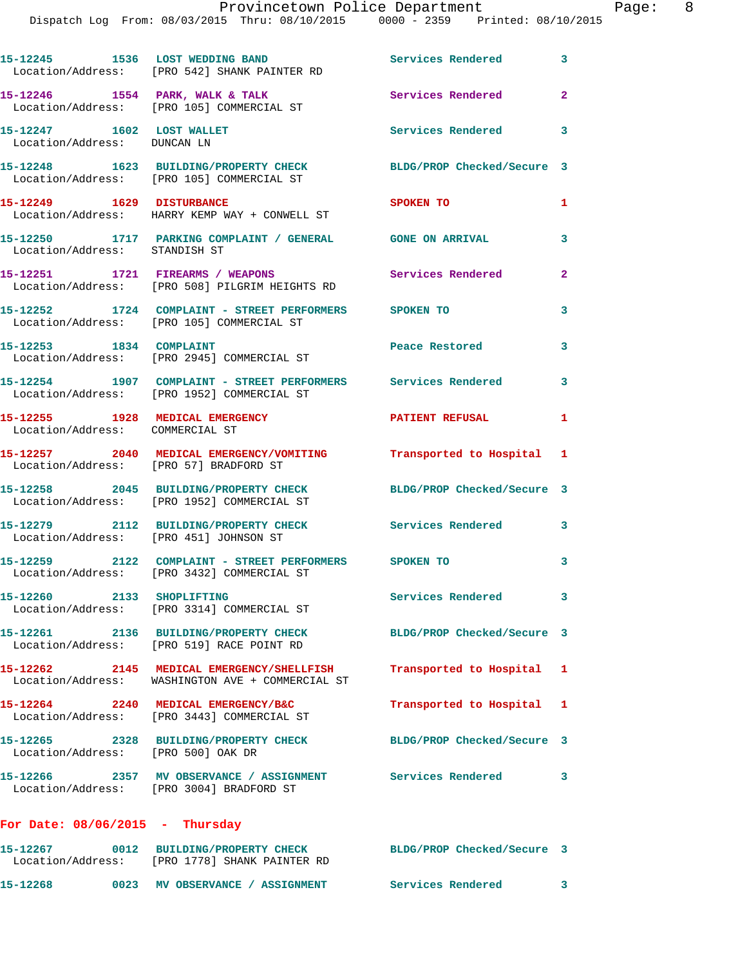|                                                          | 15-12245 1536 LOST WEDDING BAND<br>Location/Address: [PRO 542] SHANK PAINTER RD                             | Services Rendered 3        |                         |
|----------------------------------------------------------|-------------------------------------------------------------------------------------------------------------|----------------------------|-------------------------|
|                                                          | 15-12246 1554 PARK, WALK & TALK<br>Location/Address: [PRO 105] COMMERCIAL ST                                | <b>Services Rendered</b>   | $\overline{2}$          |
| 15-12247 1602 LOST WALLET<br>Location/Address: DUNCAN LN |                                                                                                             | Services Rendered 3        |                         |
|                                                          | 15-12248 1623 BUILDING/PROPERTY CHECK<br>Location/Address: [PRO 105] COMMERCIAL ST                          | BLDG/PROP Checked/Secure 3 |                         |
| 15-12249 1629 DISTURBANCE                                | Location/Address: HARRY KEMP WAY + CONWELL ST                                                               | SPOKEN TO                  | $\mathbf{1}$            |
| Location/Address: STANDISH ST                            | 15-12250 1717 PARKING COMPLAINT / GENERAL GONE ON ARRIVAL                                                   |                            | 3                       |
|                                                          | 15-12251 1721 FIREARMS / WEAPONS<br>Location/Address: [PRO 508] PILGRIM HEIGHTS RD                          | Services Rendered          | $\overline{2}$          |
|                                                          | 15-12252 1724 COMPLAINT - STREET PERFORMERS SPOKEN TO<br>Location/Address: [PRO 105] COMMERCIAL ST          |                            | 3                       |
| 15-12253 1834 COMPLAINT                                  | Location/Address: [PRO 2945] COMMERCIAL ST                                                                  | Peace Restored             | 3                       |
|                                                          | 15-12254 1907 COMPLAINT - STREET PERFORMERS Services Rendered<br>Location/Address: [PRO 1952] COMMERCIAL ST |                            | $\overline{\mathbf{3}}$ |
| Location/Address: COMMERCIAL ST                          | 15-12255 1928 MEDICAL EMERGENCY                                                                             | <b>PATIENT REFUSAL</b>     | $\mathbf{1}$            |
| Location/Address: [PRO 57] BRADFORD ST                   | 15-12257 2040 MEDICAL EMERGENCY/VOMITING Transported to Hospital 1                                          |                            |                         |
|                                                          | 15-12258 2045 BUILDING/PROPERTY CHECK<br>Location/Address: [PRO 1952] COMMERCIAL ST                         | BLDG/PROP Checked/Secure 3 |                         |
| Location/Address: [PRO 451] JOHNSON ST                   | 15-12279 2112 BUILDING/PROPERTY CHECK Services Rendered 3                                                   |                            |                         |
|                                                          | 15-12259 2122 COMPLAINT - STREET PERFORMERS SPOKEN TO<br>Location/Address: [PRO 3432] COMMERCIAL ST         |                            | 3                       |
| 15-12260 2133 SHOPLIFTING                                | Location/Address: [PRO 3314] COMMERCIAL ST                                                                  | <b>Services Rendered</b>   | 3                       |
|                                                          | 15-12261 2136 BUILDING/PROPERTY CHECK<br>Location/Address: [PRO 519] RACE POINT RD                          | BLDG/PROP Checked/Secure 3 |                         |
|                                                          | 15-12262 2145 MEDICAL EMERGENCY/SHELLFISH<br>Location/Address: WASHINGTON AVE + COMMERCIAL ST               | Transported to Hospital 1  |                         |
|                                                          | 15-12264 2240 MEDICAL EMERGENCY/B&C<br>Location/Address: [PRO 3443] COMMERCIAL ST                           | Transported to Hospital 1  |                         |
| Location/Address: [PRO 500] OAK DR                       | 15-12265 2328 BUILDING/PROPERTY CHECK                                                                       | BLDG/PROP Checked/Secure 3 |                         |
|                                                          | 15-12266 2357 MV OBSERVANCE / ASSIGNMENT Services Rendered 3<br>Location/Address: [PRO 3004] BRADFORD ST    |                            |                         |
| For Date: $08/06/2015$ - Thursday                        |                                                                                                             |                            |                         |
|                                                          | 15-12267 0012 BUILDING/PROPERTY CHECK<br>Location/Address: [PRO 1778] SHANK PAINTER RD                      | BLDG/PROP Checked/Secure 3 |                         |

**15-12268 0023 MV OBSERVANCE / ASSIGNMENT Services Rendered 3**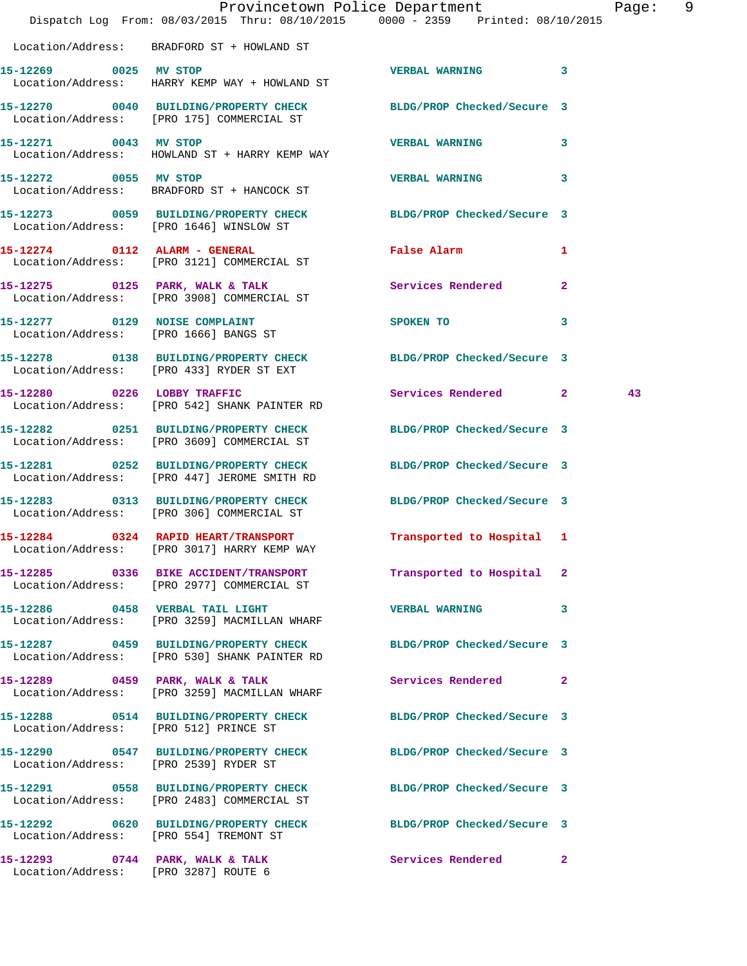|                                       |                                                                                                                  | Provincetown Police Department<br>Dispatch Log From: 08/03/2015 Thru: 08/10/2015 0000 - 2359 Printed: 08/10/2015 | Page: 9 |
|---------------------------------------|------------------------------------------------------------------------------------------------------------------|------------------------------------------------------------------------------------------------------------------|---------|
|                                       | Location/Address: BRADFORD ST + HOWLAND ST                                                                       |                                                                                                                  |         |
| 15-12269 0025 MV STOP                 | Location/Address: HARRY KEMP WAY + HOWLAND ST                                                                    | VERBAL WARNING 3                                                                                                 |         |
|                                       | 15-12270 0040 BUILDING/PROPERTY CHECK BLDG/PROP Checked/Secure 3<br>Location/Address: [PRO 175] COMMERCIAL ST    |                                                                                                                  |         |
| 15-12271 0043 MV STOP                 | Location/Address: HOWLAND ST + HARRY KEMP WAY                                                                    | VERBAL WARNING 3                                                                                                 |         |
| 15-12272 0055 MV STOP                 | Location/Address: BRADFORD ST + HANCOCK ST                                                                       | <b>VERBAL WARNING</b><br>3                                                                                       |         |
|                                       | 15-12273 0059 BUILDING/PROPERTY CHECK BLDG/PROP Checked/Secure 3<br>Location/Address: [PRO 1646] WINSLOW ST      |                                                                                                                  |         |
|                                       | 15-12274 0112 ALARM - GENERAL<br>Location/Address: [PRO 3121] COMMERCIAL ST                                      | <b>False Alarm</b><br>1                                                                                          |         |
|                                       | 15-12275 0125 PARK, WALK & TALK<br>Location/Address: [PRO 3908] COMMERCIAL ST                                    | $\overline{2}$<br>Services Rendered                                                                              |         |
|                                       | 15-12277 0129 NOISE COMPLAINT<br>Location/Address: [PRO 1666] BANGS ST                                           | SPOKEN TO<br>3                                                                                                   |         |
|                                       | 15-12278 0138 BUILDING/PROPERTY CHECK BLDG/PROP Checked/Secure 3<br>Location/Address: [PRO 433] RYDER ST EXT     |                                                                                                                  |         |
|                                       | 15-12280 0226 LOBBY TRAFFIC<br>Location/Address: [PRO 542] SHANK PAINTER RD                                      | Services Rendered 2                                                                                              | 43      |
|                                       | 15-12282 0251 BUILDING/PROPERTY CHECK<br>Location/Address: [PRO 3609] COMMERCIAL ST                              | BLDG/PROP Checked/Secure 3                                                                                       |         |
|                                       | 15-12281 0252 BUILDING/PROPERTY CHECK BLDG/PROP Checked/Secure 3<br>Location/Address: [PRO 447] JEROME SMITH RD  |                                                                                                                  |         |
|                                       | 15-12283 0313 BUILDING/PROPERTY CHECK<br>Location/Address: [PRO 306] COMMERCIAL ST                               | BLDG/PROP Checked/Secure 3                                                                                       |         |
|                                       | 15-12284 0324 RAPID HEART/TRANSPORT<br>Location/Address: [PRO 3017] HARRY KEMP WAY                               | Transported to Hospital 1                                                                                        |         |
|                                       | 15-12285 0336 BIKE ACCIDENT/TRANSPORT<br>Location/Address: [PRO 2977] COMMERCIAL ST                              | Transported to Hospital 2                                                                                        |         |
|                                       | 15-12286 0458 VERBAL TAIL LIGHT<br>Location/Address: [PRO 3259] MACMILLAN WHARF                                  | <b>VERBAL WARNING</b><br>$\mathbf{3}$                                                                            |         |
|                                       | 15-12287 0459 BUILDING/PROPERTY CHECK BLDG/PROP Checked/Secure 3<br>Location/Address: [PRO 530] SHANK PAINTER RD |                                                                                                                  |         |
|                                       | 15-12289 0459 PARK, WALK & TALK<br>Location/Address: [PRO 3259] MACMILLAN WHARF                                  | Services Rendered<br>$\mathbf{2}$                                                                                |         |
| Location/Address: [PRO 512] PRINCE ST | 15-12288 0514 BUILDING/PROPERTY CHECK BLDG/PROP Checked/Secure 3                                                 |                                                                                                                  |         |
| Location/Address: [PRO 2539] RYDER ST | 15-12290 0547 BUILDING/PROPERTY CHECK BLDG/PROP Checked/Secure 3                                                 |                                                                                                                  |         |
|                                       | 15-12291 0558 BUILDING/PROPERTY CHECK<br>Location/Address: [PRO 2483] COMMERCIAL ST                              | BLDG/PROP Checked/Secure 3                                                                                       |         |
|                                       | 15-12292 0620 BUILDING/PROPERTY CHECK BLDG/PROP Checked/Secure 3<br>Location/Address: [PRO 554] TREMONT ST       |                                                                                                                  |         |
| Location/Address: [PRO 3287] ROUTE 6  | 15-12293 0744 PARK, WALK & TALK                                                                                  | Services Rendered<br>$\mathbf{2}$                                                                                |         |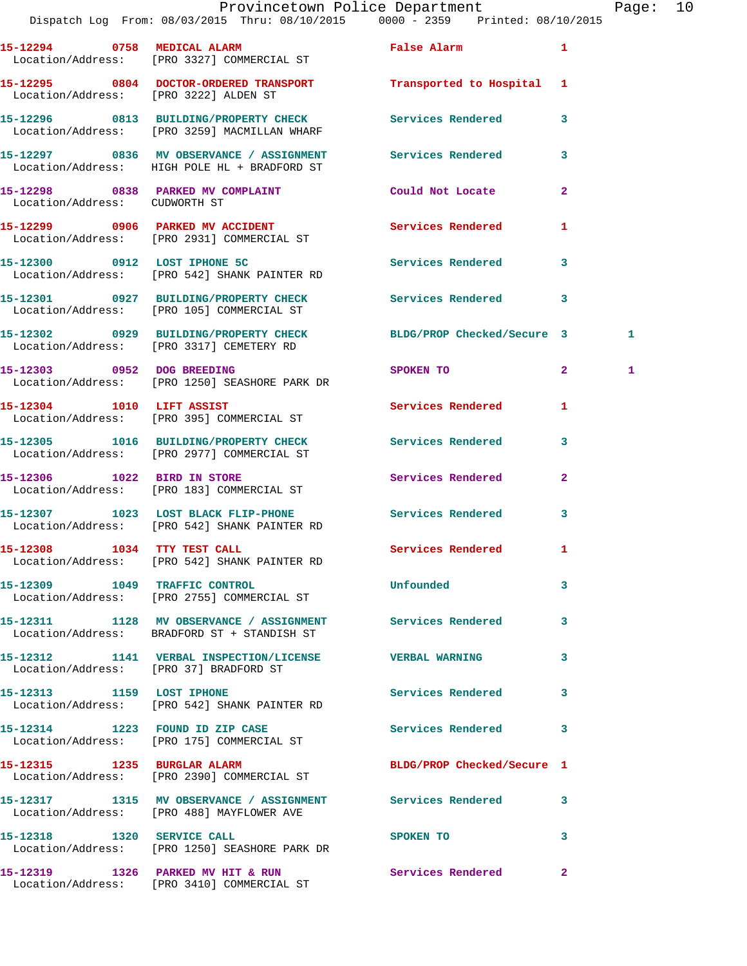|                               | 15-12294 0758 MEDICAL ALARM<br>Location/Address: [PRO 3327] COMMERCIAL ST                                    | <b>False Alarm</b>         | 1              |    |
|-------------------------------|--------------------------------------------------------------------------------------------------------------|----------------------------|----------------|----|
|                               | 15-12295 0804 DOCTOR-ORDERED TRANSPORT Transported to Hospital 1<br>Location/Address: [PRO 3222] ALDEN ST    |                            |                |    |
|                               | 15-12296 0813 BUILDING/PROPERTY CHECK<br>Location/Address: [PRO 3259] MACMILLAN WHARF                        | Services Rendered          | 3              |    |
|                               | 15-12297 0836 MV OBSERVANCE / ASSIGNMENT<br>Location/Address: HIGH POLE HL + BRADFORD ST                     | Services Rendered          | 3              |    |
| Location/Address: CUDWORTH ST | 15-12298 0838 PARKED MV COMPLAINT                                                                            | Could Not Locate           | $\mathbf{2}$   |    |
|                               | 15-12299 0906 PARKED MV ACCIDENT<br>Location/Address: [PRO 2931] COMMERCIAL ST                               | Services Rendered          | 1              |    |
|                               | 15-12300 0912 LOST IPHONE 5C<br>Location/Address: [PRO 542] SHANK PAINTER RD                                 | <b>Services Rendered</b>   | 3              |    |
|                               | 15-12301 0927 BUILDING/PROPERTY CHECK Services Rendered<br>Location/Address: [PRO 105] COMMERCIAL ST         |                            | 3              |    |
|                               | 15-12302 0929 BUILDING/PROPERTY CHECK BLDG/PROP Checked/Secure 3<br>Location/Address: [PRO 3317] CEMETERY RD |                            |                | 1. |
|                               | 15-12303 0952 DOG BREEDING<br>Location/Address: [PRO 1250] SEASHORE PARK DR                                  | SPOKEN TO                  | $\mathbf{2}^-$ | 1  |
| 15-12304 1010 LIFT ASSIST     | Location/Address: [PRO 395] COMMERCIAL ST                                                                    | Services Rendered          | 1              |    |
|                               | 15-12305 1016 BUILDING/PROPERTY CHECK<br>Location/Address: [PRO 2977] COMMERCIAL ST                          | Services Rendered          | 3              |    |
| 15-12306 1022 BIRD IN STORE   | Location/Address: [PRO 183] COMMERCIAL ST                                                                    | Services Rendered          | $\mathbf{2}$   |    |
|                               | 15-12307 1023 LOST BLACK FLIP-PHONE<br>Location/Address: [PRO 542] SHANK PAINTER RD                          | <b>Services Rendered</b>   | 3              |    |
| 15-12308 1034 TTY TEST CALL   | Location/Address: [PRO 542] SHANK PAINTER RD                                                                 | Services Rendered          | 1              |    |
|                               | 15-12309 1049 TRAFFIC CONTROL<br>Location/Address: [PRO 2755] COMMERCIAL ST                                  | Unfounded                  | 3              |    |
|                               | 15-12311 1128 MV OBSERVANCE / ASSIGNMENT Services Rendered<br>Location/Address: BRADFORD ST + STANDISH ST    |                            | 3              |    |
|                               | 15-12312 1141 VERBAL INSPECTION/LICENSE VERBAL WARNING<br>Location/Address: [PRO 37] BRADFORD ST             |                            | 3              |    |
| 15-12313 1159 LOST IPHONE     | Location/Address: [PRO 542] SHANK PAINTER RD                                                                 | Services Rendered          | 3              |    |
|                               | 15-12314 1223 FOUND ID ZIP CASE<br>Location/Address: [PRO 175] COMMERCIAL ST                                 | Services Rendered          | 3              |    |
| 15-12315 1235 BURGLAR ALARM   | Location/Address: [PRO 2390] COMMERCIAL ST                                                                   | BLDG/PROP Checked/Secure 1 |                |    |
|                               | 15-12317 1315 MV OBSERVANCE / ASSIGNMENT Services Rendered<br>Location/Address: [PRO 488] MAYFLOWER AVE      |                            | 3              |    |
| 15-12318 1320 SERVICE CALL    | Location/Address: [PRO 1250] SEASHORE PARK DR                                                                | SPOKEN TO                  | 3              |    |
|                               | 15-12319                1326    PARKED MV HIT & RUN                          Services Rendered               |                            | $\mathbf{2}$   |    |

Location/Address: [PRO 3410] COMMERCIAL ST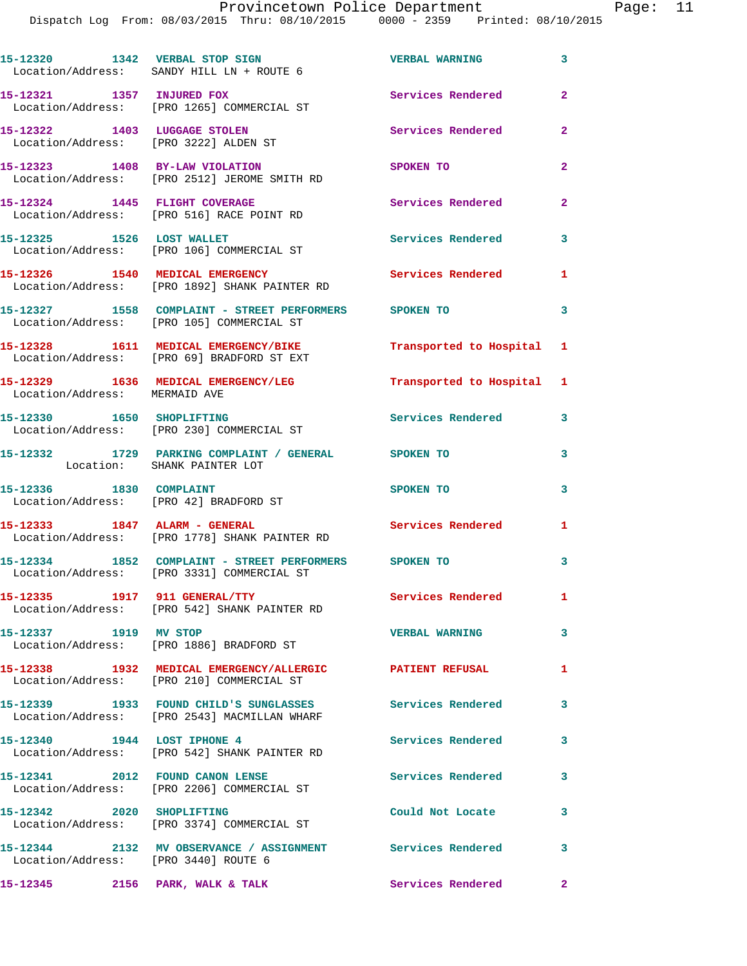Dispatch Log From: 08/03/2015 Thru: 08/10/2015 0000 - 2359 Printed: 08/10/2015

|                                 | 15-12320 1342 VERBAL STOP SIGN<br>Location/Address: SANDY HILL LN + ROUTE 6                           | <b>VERBAL WARNING</b>     | $\mathbf{3}$            |
|---------------------------------|-------------------------------------------------------------------------------------------------------|---------------------------|-------------------------|
|                                 | 15-12321 1357 INJURED FOX<br>Location/Address: [PRO 1265] COMMERCIAL ST                               | <b>Services Rendered</b>  | $\overline{2}$          |
| 15-12322 1403 LUGGAGE STOLEN    | Location/Address: [PRO 3222] ALDEN ST                                                                 | Services Rendered         | $\overline{2}$          |
|                                 | 15-12323 1408 BY-LAW VIOLATION<br>Location/Address: [PRO 2512] JEROME SMITH RD                        | SPOKEN TO                 | $\overline{a}$          |
| 15-12324 1445 FLIGHT COVERAGE   | Location/Address: [PRO 516] RACE POINT RD                                                             | Services Rendered         | $\overline{2}$          |
| 15-12325 1526 LOST WALLET       | Location/Address: [PRO 106] COMMERCIAL ST                                                             | <b>Services Rendered</b>  | $\overline{\mathbf{3}}$ |
|                                 | 15-12326 1540 MEDICAL EMERGENCY<br>Location/Address: [PRO 1892] SHANK PAINTER RD                      | <b>Services Rendered</b>  | 1                       |
|                                 | 15-12327 1558 COMPLAINT - STREET PERFORMERS SPOKEN TO<br>Location/Address: [PRO 105] COMMERCIAL ST    |                           | $\overline{\mathbf{3}}$ |
|                                 | 15-12328 1611 MEDICAL EMERGENCY/BIKE<br>Location/Address: [PRO 69] BRADFORD ST EXT                    | Transported to Hospital 1 |                         |
| Location/Address: MERMAID AVE   | 15-12329 1636 MEDICAL EMERGENCY/LEG                                                                   | Transported to Hospital 1 |                         |
|                                 | 15-12330 1650 SHOPLIFTING<br>Location/Address: [PRO 230] COMMERCIAL ST                                | Services Rendered         | $\mathbf{3}$            |
|                                 | 15-12332 1729 PARKING COMPLAINT / GENERAL SPOKEN TO<br>Location: SHANK PAINTER LOT                    |                           | $\mathbf{3}$            |
| 15-12336 1830 COMPLAINT         | Location/Address: [PRO 42] BRADFORD ST                                                                | SPOKEN TO                 | 3                       |
| 15-12333 1847 ALARM - GENERAL   | Location/Address: [PRO 1778] SHANK PAINTER RD                                                         | Services Rendered         | 1                       |
|                                 | 15-12334 1852 COMPLAINT - STREET PERFORMERS SPOKEN TO                                                 |                           | 3                       |
|                                 | Location/Address: [PRO 3331] COMMERCIAL ST                                                            | Services Rendered         | 1.                      |
| 15-12337 1919 MV STOP           | Location/Address: [PRO 542] SHANK PAINTER RD                                                          | <b>VERBAL WARNING</b>     | $\mathbf{3}$            |
|                                 | Location/Address: [PRO 1886] BRADFORD ST<br>15-12338 1932 MEDICAL EMERGENCY/ALLERGIC PATIENT REFUSAL  |                           | 1.                      |
|                                 | Location/Address: [PRO 210] COMMERCIAL ST<br>15-12339 1933 FOUND CHILD'S SUNGLASSES Services Rendered |                           | $\mathbf{3}$            |
| 15-12340 1944 LOST IPHONE 4     | Location/Address: [PRO 2543] MACMILLAN WHARF                                                          | Services Rendered 3       |                         |
|                                 | Location/Address: [PRO 542] SHANK PAINTER RD<br>15-12341 2012 FOUND CANON LENSE                       | <b>Services Rendered</b>  | $\mathbf{3}$            |
| 15-12342 2020 SHOPLIFTING       | Location/Address: [PRO 2206] COMMERCIAL ST                                                            | Could Not Locate          | $\mathbf{3}$            |
|                                 | Location/Address: [PRO 3374] COMMERCIAL ST                                                            |                           | $\mathbf{3}$            |
|                                 | 15-12344  2132 MV OBSERVANCE / ASSIGNMENT  Services Rendered<br>Location/Address: [PRO 3440] ROUTE 6  |                           |                         |
| 15-12345 2156 PARK, WALK & TALK |                                                                                                       | Services Rendered         | $\mathbf{2}$            |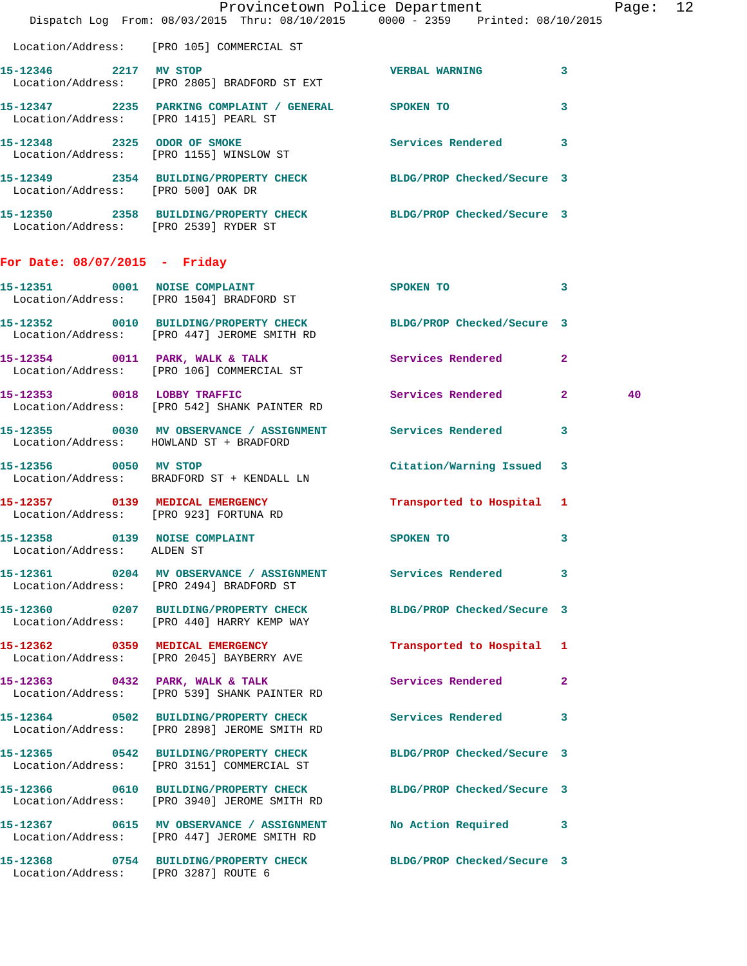|                                        | Dispatch Log From: 08/03/2015 Thru: 08/10/2015 0000 - 2359 Printed: 08/10/2015                                   | Provincetown Police Department |              | Page: 12 |  |
|----------------------------------------|------------------------------------------------------------------------------------------------------------------|--------------------------------|--------------|----------|--|
|                                        | Location/Address: [PRO 105] COMMERCIAL ST                                                                        |                                |              |          |  |
| 15-12346 2217 MV STOP                  | Location/Address: [PRO 2805] BRADFORD ST EXT                                                                     | <b>VERBAL WARNING</b>          | 3            |          |  |
| Location/Address: [PRO 1415] PEARL ST  | 15-12347 2235 PARKING COMPLAINT / GENERAL SPOKEN TO                                                              |                                | 3            |          |  |
|                                        | 15-12348 2325 ODOR OF SMOKE Services Rendered 3<br>Location/Address: [PRO 1155] WINSLOW ST                       |                                |              |          |  |
|                                        | 15-12349 2354 BUILDING/PROPERTY CHECK BLDG/PROP Checked/Secure 3<br>Location/Address: [PRO 500] OAK DR           |                                |              |          |  |
| Location/Address: [PRO 2539] RYDER ST  | 15-12350 2358 BUILDING/PROPERTY CHECK BLDG/PROP Checked/Secure 3                                                 |                                |              |          |  |
| For Date: $08/07/2015$ - Friday        |                                                                                                                  |                                |              |          |  |
|                                        | 15-12351 0001 NOISE COMPLAINT<br>Location/Address: [PRO 1504] BRADFORD ST                                        | SPOKEN TO 3                    |              |          |  |
|                                        | 15-12352 0010 BUILDING/PROPERTY CHECK BLDG/PROP Checked/Secure 3<br>Location/Address: [PRO 447] JEROME SMITH RD  |                                |              |          |  |
|                                        | 15-12354 0011 PARK, WALK & TALK Services Rendered 2<br>Location/Address: [PRO 106] COMMERCIAL ST                 |                                |              |          |  |
|                                        | 15-12353 0018 LOBBY TRAFFIC Services Rendered 2<br>Location/Address: [PRO 542] SHANK PAINTER RD                  |                                |              | 40       |  |
|                                        | 15-12355 0030 MV OBSERVANCE / ASSIGNMENT Services Rendered<br>Location/Address: HOWLAND ST + BRADFORD            |                                | 3            |          |  |
| 15-12356 0050 MV STOP                  | Location/Address: BRADFORD ST + KENDALL LN                                                                       | Citation/Warning Issued 3      |              |          |  |
| Location/Address: [PRO 923] FORTUNA RD | 15-12357 0139 MEDICAL EMERGENCY Transported to Hospital 1                                                        |                                |              |          |  |
| Location/Address: ALDEN ST             | 15-12358 0139 NOISE COMPLAINT SPOKEN TO                                                                          |                                | 3            |          |  |
|                                        | 15-12361 0204 MV OBSERVANCE / ASSIGNMENT Services Rendered 3<br>Location/Address: [PRO 2494] BRADFORD ST         |                                |              |          |  |
|                                        | 15-12360 0207 BUILDING/PROPERTY CHECK BLDG/PROP Checked/Secure 3<br>Location/Address: [PRO 440] HARRY KEMP WAY   |                                |              |          |  |
|                                        | 15-12362 0359 MEDICAL EMERGENCY<br>Location/Address: [PRO 2045] BAYBERRY AVE                                     | Transported to Hospital 1      |              |          |  |
|                                        | 15-12363 0432 PARK, WALK & TALK<br>Location/Address: [PRO 539] SHANK PAINTER RD                                  | Services Rendered              | $\mathbf{2}$ |          |  |
|                                        | 15-12364 0502 BUILDING/PROPERTY CHECK Services Rendered<br>Location/Address: [PRO 2898] JEROME SMITH RD          |                                | 3            |          |  |
|                                        | 15-12365 0542 BUILDING/PROPERTY CHECK BLDG/PROP Checked/Secure 3<br>Location/Address: [PRO 3151] COMMERCIAL ST   |                                |              |          |  |
|                                        | 15-12366 0610 BUILDING/PROPERTY CHECK BLDG/PROP Checked/Secure 3<br>Location/Address: [PRO 3940] JEROME SMITH RD |                                |              |          |  |
|                                        | 15-12367 0615 MV OBSERVANCE / ASSIGNMENT No Action Required 3<br>Location/Address: [PRO 447] JEROME SMITH RD     |                                |              |          |  |
| Location/Address: [PRO 3287] ROUTE 6   | 15-12368 0754 BUILDING/PROPERTY CHECK BLDG/PROP Checked/Secure 3                                                 |                                |              |          |  |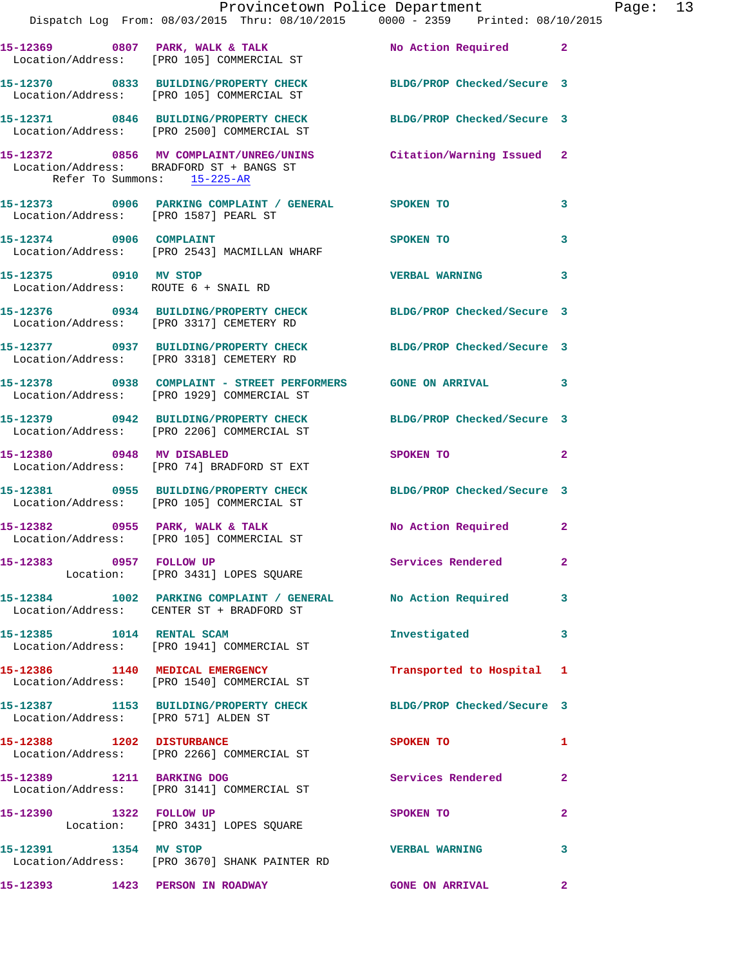|                                       | Provincetown Police Department                                                                                 |                         |                         |
|---------------------------------------|----------------------------------------------------------------------------------------------------------------|-------------------------|-------------------------|
|                                       | Dispatch Log From: 08/03/2015 Thru: 08/10/2015 0000 - 2359 Printed: 08/10/2015                                 |                         |                         |
|                                       | 15-12369 0807 PARK, WALK & TALK N No Action Required 2<br>Location/Address: [PRO 105] COMMERCIAL ST            |                         |                         |
|                                       | 15-12370 0833 BUILDING/PROPERTY CHECK BLDG/PROP Checked/Secure 3<br>Location/Address: [PRO 105] COMMERCIAL ST  |                         |                         |
|                                       | 15-12371 0846 BUILDING/PROPERTY CHECK BLDG/PROP Checked/Secure 3<br>Location/Address: [PRO 2500] COMMERCIAL ST |                         |                         |
| Refer To Summons: 15-225-AR           | 15-12372 0856 MV COMPLAINT/UNREG/UNINS Citation/Warning Issued<br>Location/Address: BRADFORD ST + BANGS ST     |                         | $\mathbf{2}$            |
| Location/Address: [PRO 1587] PEARL ST | 15-12373 0906 PARKING COMPLAINT / GENERAL SPOKEN TO                                                            |                         | 3                       |
|                                       | 15-12374 0906 COMPLAINT<br>Location/Address: [PRO 2543] MACMILLAN WHARF                                        | SPOKEN TO               | 3                       |
| 15-12375 0910 MV STOP                 | Location/Address: ROUTE 6 + SNAIL RD                                                                           | <b>VERBAL WARNING</b>   | 3                       |
|                                       | 15-12376 0934 BUILDING/PROPERTY CHECK BLDG/PROP Checked/Secure 3<br>Location/Address: [PRO 3317] CEMETERY RD   |                         |                         |
|                                       | 15-12377 0937 BUILDING/PROPERTY CHECK BLDG/PROP Checked/Secure 3<br>Location/Address: [PRO 3318] CEMETERY RD   |                         |                         |
|                                       | 15-12378 0938 COMPLAINT - STREET PERFORMERS GONE ON ARRIVAL<br>Location/Address: [PRO 1929] COMMERCIAL ST      |                         | 3                       |
|                                       | 15-12379 0942 BUILDING/PROPERTY CHECK BLDG/PROP Checked/Secure 3<br>Location/Address: [PRO 2206] COMMERCIAL ST |                         |                         |
|                                       | 15-12380 0948 MV DISABLED<br>Location/Address: [PRO 74] BRADFORD ST EXT                                        | SPOKEN TO               | $\overline{2}$          |
|                                       | 15-12381 0955 BUILDING/PROPERTY CHECK BLDG/PROP Checked/Secure 3<br>Location/Address: [PRO 105] COMMERCIAL ST  |                         |                         |
|                                       | 15-12382 0955 PARK, WALK & TALK<br>Location/Address: [PRO 105] COMMERCIAL ST                                   | No Action Required      | $\overline{a}$          |
| 15-12383 0957 FOLLOW UP               | Location: [PRO 3431] LOPES SQUARE                                                                              | Services Rendered       | $\overline{\mathbf{2}}$ |
|                                       | 15-12384 1002 PARKING COMPLAINT / GENERAL No Action Required<br>Location/Address: CENTER ST + BRADFORD ST      |                         | 3                       |
| 15-12385 1014 RENTAL SCAM             | Location/Address: [PRO 1941] COMMERCIAL ST                                                                     | Investigated            | 3                       |
|                                       | 15-12386 1140 MEDICAL EMERGENCY<br>Location/Address: [PRO 1540] COMMERCIAL ST                                  | Transported to Hospital | 1                       |
| Location/Address: [PRO 571] ALDEN ST  | 15-12387 1153 BUILDING/PROPERTY CHECK BLDG/PROP Checked/Secure 3                                               |                         |                         |
| 15-12388 1202 DISTURBANCE             | Location/Address: [PRO 2266] COMMERCIAL ST                                                                     | SPOKEN TO               | 1                       |
| 15-12389 1211 BARKING DOG             | Location/Address: [PRO 3141] COMMERCIAL ST                                                                     | Services Rendered       | $\mathbf{2}$            |
| 15-12390 1322 FOLLOW UP               | Location: [PRO 3431] LOPES SQUARE                                                                              | SPOKEN TO               | $\overline{\mathbf{2}}$ |
| 15-12391 1354 MV STOP                 | Location/Address: [PRO 3670] SHANK PAINTER RD                                                                  | <b>VERBAL WARNING</b>   | 3                       |
| 15-12393 1423 PERSON IN ROADWAY       |                                                                                                                | <b>GONE ON ARRIVAL</b>  | $\overline{2}$          |

Page: 13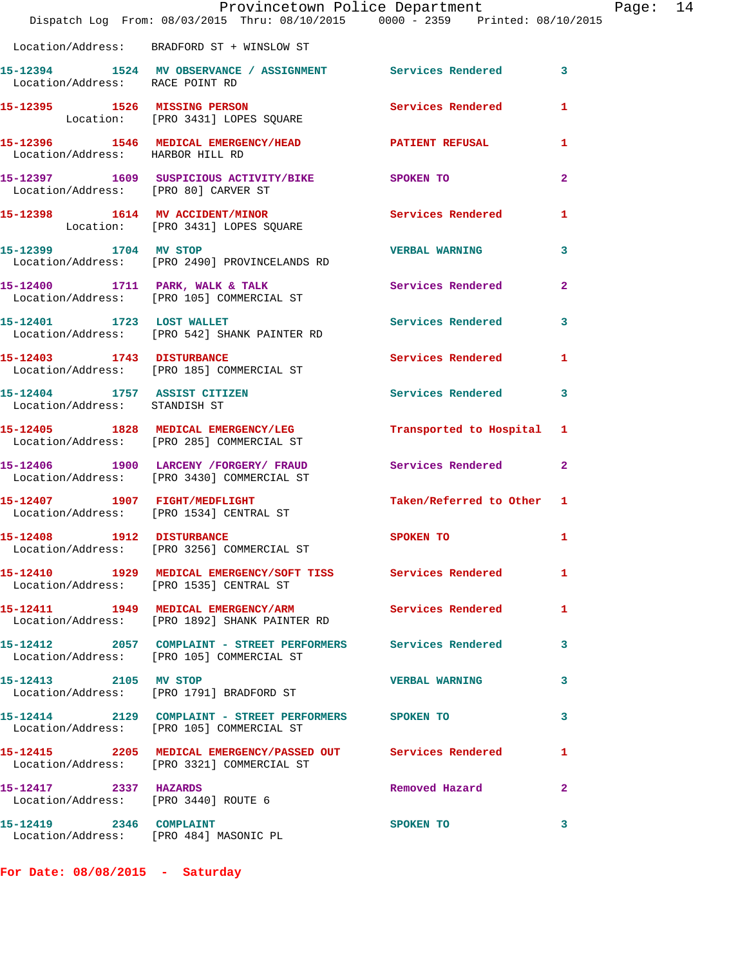|                                                               | Provincetown Police Department<br>Dispatch Log From: 08/03/2015 Thru: 08/10/2015 0000 - 2359 Printed: 08/10/2015 |                           |                |
|---------------------------------------------------------------|------------------------------------------------------------------------------------------------------------------|---------------------------|----------------|
|                                                               | Location/Address: BRADFORD ST + WINSLOW ST                                                                       |                           |                |
|                                                               |                                                                                                                  |                           | $\mathbf{3}$   |
|                                                               | 15-12395 1526 MISSING PERSON<br>Location: [PRO 3431] LOPES SQUARE                                                | Services Rendered         | 1              |
|                                                               | 15-12396   1546   MEDICAL EMERGENCY/HEAD   PATIENT REFUSAL Location/Address: HARBOR HILL RD                      |                           | 1              |
|                                                               | 15-12397 1609 SUSPICIOUS ACTIVITY/BIKE SPOKEN TO<br>Location/Address: [PRO 80] CARVER ST                         |                           | $\mathbf{2}$   |
|                                                               | 15-12398 1614 MV ACCIDENT/MINOR<br>Location: [PRO 3431] LOPES SQUARE                                             | Services Rendered         | $\mathbf{1}$   |
| 15-12399 1704 MV STOP                                         | Location/Address: [PRO 2490] PROVINCELANDS RD                                                                    | <b>VERBAL WARNING</b>     | 3              |
|                                                               | 15-12400 1711 PARK, WALK & TALK<br>Location/Address: [PRO 105] COMMERCIAL ST                                     | Services Rendered         | $\overline{2}$ |
|                                                               | 15-12401 1723 LOST WALLET<br>Location/Address: [PRO 542] SHANK PAINTER RD                                        | <b>Services Rendered</b>  | 3              |
| 15-12403 1743 DISTURBANCE                                     | Location/Address: [PRO 185] COMMERCIAL ST                                                                        | Services Rendered         | 1              |
| 15-12404 1757 ASSIST CITIZEN<br>Location/Address: STANDISH ST |                                                                                                                  | Services Rendered         | 3              |
|                                                               | 15-12405 1828 MEDICAL EMERGENCY/LEG<br>Location/Address: [PRO 285] COMMERCIAL ST                                 | Transported to Hospital 1 |                |
|                                                               | 15-12406 1900 LARCENY /FORGERY / FRAUD Services Rendered Location / Address: [PRO 3430] COMMERCIAL ST            |                           | $\mathbf{2}$   |
|                                                               | 15-12407 1907 FIGHT/MEDFLIGHT<br>Location/Address: [PRO 1534] CENTRAL ST                                         | Taken/Referred to Other 1 |                |
| 15-12408 1912 DISTURBANCE                                     | Location/Address: [PRO 3256] COMMERCIAL ST                                                                       | SPOKEN TO                 | 1              |
|                                                               | 15-12410 1929 MEDICAL EMERGENCY/SOFT TISS Services Rendered<br>Location/Address: [PRO 1535] CENTRAL ST           |                           | 1              |
|                                                               | 15-12411 1949 MEDICAL EMERGENCY/ARM<br>Location/Address: [PRO 1892] SHANK PAINTER RD                             | <b>Services Rendered</b>  | 1              |
|                                                               | 15-12412 2057 COMPLAINT - STREET PERFORMERS Services Rendered<br>Location/Address: [PRO 105] COMMERCIAL ST       |                           | 3              |
| 15-12413 2105 MV STOP                                         | Location/Address: [PRO 1791] BRADFORD ST                                                                         | <b>VERBAL WARNING</b>     | 3              |
|                                                               | 15-12414 2129 COMPLAINT - STREET PERFORMERS SPOKEN TO<br>Location/Address: [PRO 105] COMMERCIAL ST               |                           | 3              |
|                                                               | 15-12415 2205 MEDICAL EMERGENCY/PASSED OUT Services Rendered<br>Location/Address: [PRO 3321] COMMERCIAL ST       |                           | 1              |
| 15-12417 2337 HAZARDS<br>Location/Address: [PRO 3440] ROUTE 6 |                                                                                                                  | Removed Hazard            | $\mathbf{2}$   |
| 15-12419 2346 COMPLAINT                                       | Location/Address: [PRO 484] MASONIC PL                                                                           | SPOKEN TO                 | 3              |

**For Date: 08/08/2015 - Saturday**

Page: 14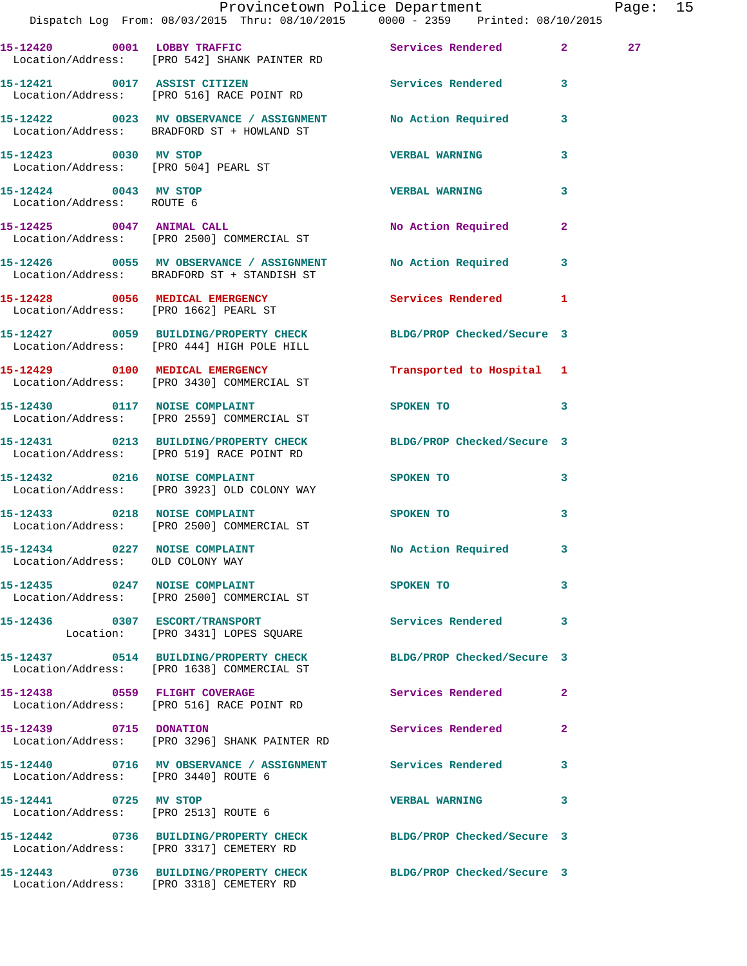|                                                                   | Dispatch Log From: 08/03/2015 Thru: 08/10/2015 0000 - 2359 Printed: 08/10/2015                                 | Provincetown Police Department |              | Page: 15 |  |
|-------------------------------------------------------------------|----------------------------------------------------------------------------------------------------------------|--------------------------------|--------------|----------|--|
|                                                                   | 15-12420 0001 LOBBY TRAFFIC Services Rendered 2<br>Location/Address: [PRO 542] SHANK PAINTER RD                |                                |              | 27       |  |
|                                                                   | 15-12421 0017 ASSIST CITIZEN Services Rendered 3<br>Location/Address: [PRO 516] RACE POINT RD                  |                                |              |          |  |
|                                                                   | 15-12422 0023 MV OBSERVANCE / ASSIGNMENT No Action Required 3<br>Location/Address: BRADFORD ST + HOWLAND ST    |                                |              |          |  |
| 15-12423 0030 MV STOP                                             | Location/Address: [PRO 504] PEARL ST                                                                           | <b>VERBAL WARNING</b>          | 3            |          |  |
| 15-12424 0043 MV STOP<br>Location/Address: ROUTE 6                |                                                                                                                | <b>VERBAL WARNING</b>          | 3            |          |  |
|                                                                   | 15-12425 0047 ANIMAL CALL<br>Location/Address: [PRO 2500] COMMERCIAL ST                                        | No Action Required             | $\mathbf{2}$ |          |  |
|                                                                   | 15-12426 0055 MV OBSERVANCE / ASSIGNMENT No Action Required 3<br>Location/Address: BRADFORD ST + STANDISH ST   |                                |              |          |  |
|                                                                   | 15-12428 0056 MEDICAL EMERGENCY<br>Location/Address: [PRO 1662] PEARL ST                                       | Services Rendered              | $\mathbf{1}$ |          |  |
|                                                                   | 15-12427 0059 BUILDING/PROPERTY CHECK BLDG/PROP Checked/Secure 3<br>Location/Address: [PRO 444] HIGH POLE HILL |                                |              |          |  |
|                                                                   | 15-12429 0100 MEDICAL EMERGENCY<br>Location/Address: [PRO 3430] COMMERCIAL ST                                  | Transported to Hospital 1      |              |          |  |
|                                                                   | 15-12430 0117 NOISE COMPLAINT<br>Location/Address: [PRO 2559] COMMERCIAL ST                                    | SPOKEN TO 3                    |              |          |  |
|                                                                   | 15-12431 0213 BUILDING/PROPERTY CHECK BLDG/PROP Checked/Secure 3<br>Location/Address: [PRO 519] RACE POINT RD  |                                |              |          |  |
| 15-12432 0216 NOISE COMPLAINT                                     | Location/Address: [PRO 3923] OLD COLONY WAY                                                                    | SPOKEN TO                      | 3            |          |  |
|                                                                   | 15-12433 0218 NOISE COMPLAINT<br>Location/Address: [PRO 2500] COMMERCIAL ST                                    | SPOKEN TO                      | 3            |          |  |
| 15-12434 0227 NOISE COMPLAINT<br>Location/Address: OLD COLONY WAY |                                                                                                                | No Action Required             |              |          |  |
|                                                                   | 15-12435 0247 NOISE COMPLAINT<br>Location/Address: [PRO 2500] COMMERCIAL ST                                    | SPOKEN TO                      | $\mathbf{3}$ |          |  |
|                                                                   | 15-12436 0307 ESCORT/TRANSPORT<br>Location: [PRO 3431] LOPES SQUARE                                            | Services Rendered 3            |              |          |  |
|                                                                   | 15-12437 0514 BUILDING/PROPERTY CHECK BLDG/PROP Checked/Secure 3<br>Location/Address: [PRO 1638] COMMERCIAL ST |                                |              |          |  |
|                                                                   | 15-12438 0559 FLIGHT COVERAGE<br>Location/Address: [PRO 516] RACE POINT RD                                     | Services Rendered 2            |              |          |  |
|                                                                   | 15-12439 0715 DONATION<br>Location/Address: [PRO 3296] SHANK PAINTER RD                                        | Services Rendered              | $\mathbf{2}$ |          |  |
| Location/Address: [PRO 3440] ROUTE 6                              | 15-12440 0716 MV OBSERVANCE / ASSIGNMENT Services Rendered 3                                                   |                                |              |          |  |
| 15-12441 0725 MV STOP<br>Location/Address: [PRO 2513] ROUTE 6     |                                                                                                                | <b>VERBAL WARNING</b>          | 3            |          |  |
|                                                                   | 15-12442 0736 BUILDING/PROPERTY CHECK BLDG/PROP Checked/Secure 3<br>Location/Address: [PRO 3317] CEMETERY RD   |                                |              |          |  |
|                                                                   | 15-12443 0736 BUILDING/PROPERTY CHECK BLDG/PROP Checked/Secure 3<br>Location/Address: [PRO 3318] CEMETERY RD   |                                |              |          |  |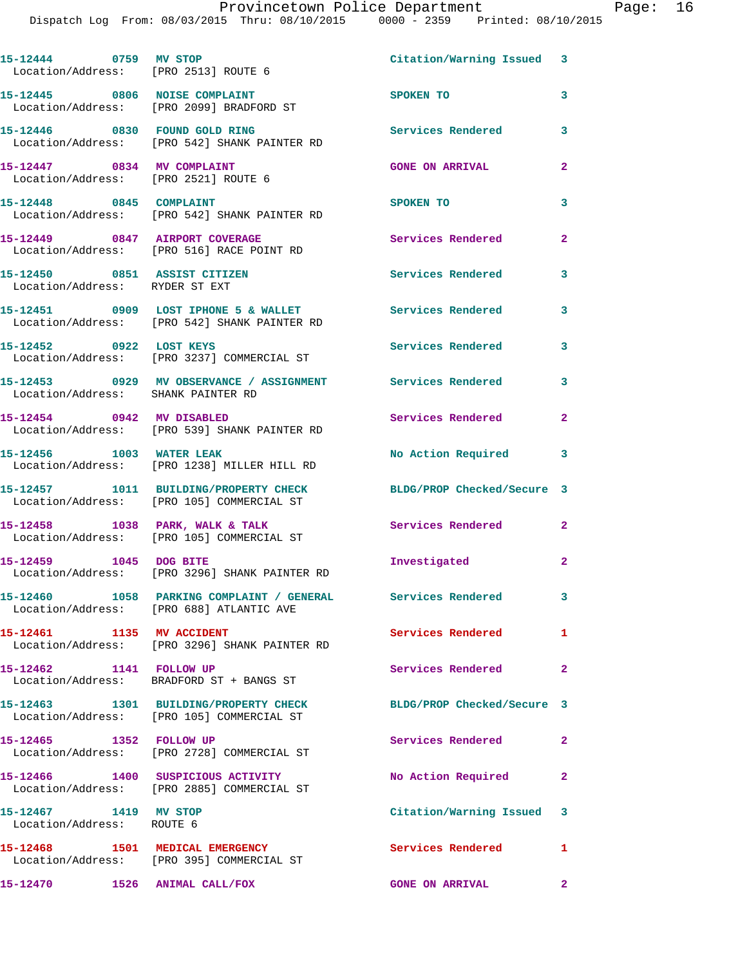**15-12444 0759 MV STOP Citation/Warning Issued 3**  Location/Address: [PRO 2513] ROUTE 6 **15-12445 0806 NOISE COMPLAINT SPOKEN TO 3**  Location/Address: [PRO 2099] BRADFORD ST **15-12446 0830 FOUND GOLD RING Services Rendered 3**  Location/Address: [PRO 542] SHANK PAINTER RD **15-12447 0834 MV COMPLAINT GONE ON ARRIVAL 2**  Location/Address: [PRO 2521] ROUTE 6 **15-12448 0845 COMPLAINT SPOKEN TO 3**  Location/Address: [PRO 542] SHANK PAINTER RD 15-12449 0847 AIRPORT COVERAGE Services Rendered 2 Location/Address: [PRO 516] RACE POINT RD **15-12450 0851 ASSIST CITIZEN Services Rendered 3**  Location/Address: RYDER ST EXT 15-12451 0909 LOST IPHONE 5 & WALLET Services Rendered 3 Location/Address: [PRO 542] SHANK PAINTER RD **15-12452 0922 LOST KEYS Services Rendered 3**  Location/Address: [PRO 3237] COMMERCIAL ST **15-12453 0929 MV OBSERVANCE / ASSIGNMENT Services Rendered 3**  Location/Address: SHANK PAINTER RD **15-12454 0942 MV DISABLED Services Rendered 2**  Location/Address: [PRO 539] SHANK PAINTER RD **15-12456 1003 WATER LEAK No Action Required 3**  Location/Address: [PRO 1238] MILLER HILL RD **15-12457 1011 BUILDING/PROPERTY CHECK BLDG/PROP Checked/Secure 3**  Location/Address: [PRO 105] COMMERCIAL ST **15-12458 1038 PARK, WALK & TALK Services Rendered 2**  Location/Address: [PRO 105] COMMERCIAL ST **15-12459 1045 DOG BITE Investigated 2**  Location/Address: [PRO 3296] SHANK PAINTER RD **15-12460 1058 PARKING COMPLAINT / GENERAL Services Rendered 3**  Location/Address: [PRO 688] ATLANTIC AVE **15-12461 1135 MV ACCIDENT Services Rendered 1**  Location/Address: [PRO 3296] SHANK PAINTER RD **15-12462 1141 FOLLOW UP Services Rendered 2**  Location/Address: BRADFORD ST + BANGS ST **15-12463 1301 BUILDING/PROPERTY CHECK BLDG/PROP Checked/Secure 3**  Location/Address: [PRO 105] COMMERCIAL ST 15-12465 1352 FOLLOW UP Services Rendered 2 Location/Address: [PRO 2728] COMMERCIAL ST **15-12466 1400 SUSPICIOUS ACTIVITY No Action Required 2**  Location/Address: [PRO 2885] COMMERCIAL ST **15-12467 1419 MV STOP Citation/Warning Issued 3**  Location/Address: ROUTE 6 **15-12468 1501 MEDICAL EMERGENCY Services Rendered 1**  Location/Address: [PRO 395] COMMERCIAL ST **15-12470 1526 ANIMAL CALL/FOX GONE ON ARRIVAL 2**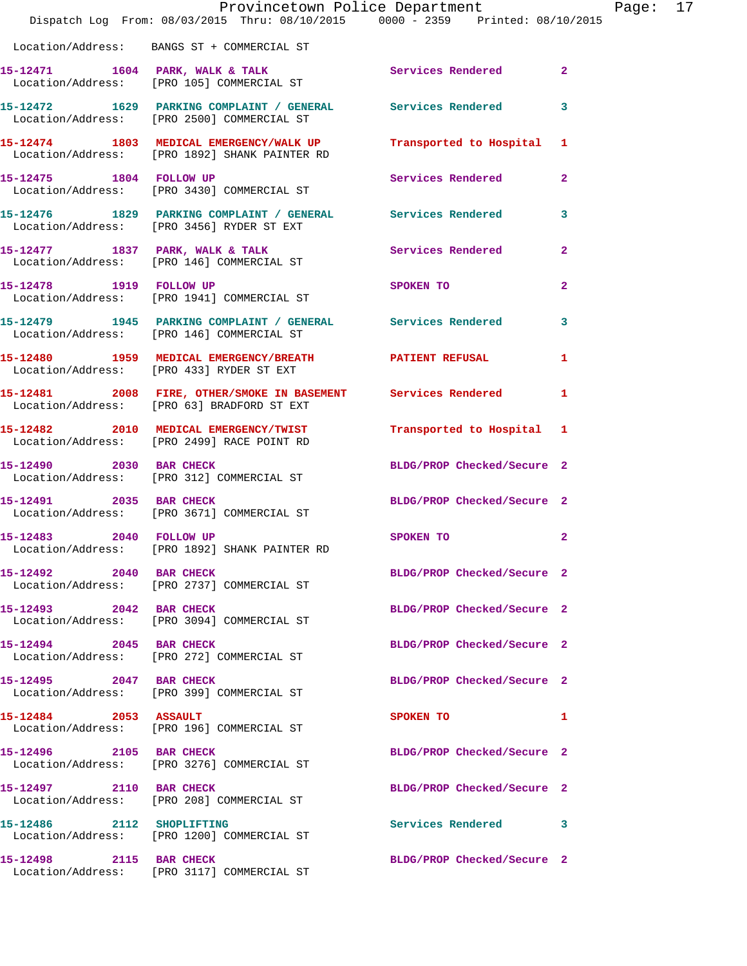|                           | Provincetown Police Department<br>Dispatch Log From: 08/03/2015 Thru: 08/10/2015 0000 - 2359 Printed: 08/10/2015 |                                         |                |
|---------------------------|------------------------------------------------------------------------------------------------------------------|-----------------------------------------|----------------|
|                           | Location/Address: BANGS ST + COMMERCIAL ST                                                                       |                                         |                |
|                           | 15-12471 1604 PARK, WALK & TALK<br>Location/Address: [PRO 105] COMMERCIAL ST                                     | Services Rendered                       | $\mathbf{2}$   |
|                           | 15-12472 1629 PARKING COMPLAINT / GENERAL Services Rendered<br>Location/Address: [PRO 2500] COMMERCIAL ST        |                                         | 3              |
|                           | 15-12474 1803 MEDICAL EMERGENCY/WALK UP Transported to Hospital 1 Location/Address: [PRO 1892] SHANK PAINTER RD  |                                         |                |
| 15-12475 1804 FOLLOW UP   | Location/Address: [PRO 3430] COMMERCIAL ST                                                                       | Services Rendered                       | $\mathbf{2}$   |
|                           | 15-12476 1829 PARKING COMPLAINT / GENERAL Services Rendered<br>Location/Address: [PRO 3456] RYDER ST EXT         |                                         | 3              |
|                           | 15-12477 1837 PARK, WALK & TALK<br>Location/Address: [PRO 146] COMMERCIAL ST                                     | <b>Services Rendered</b>                | $\mathbf{2}$   |
| 15-12478 1919 FOLLOW UP   | Location/Address: [PRO 1941] COMMERCIAL ST                                                                       | <b>SPOKEN TO</b>                        | $\overline{a}$ |
|                           | 15-12479 1945 PARKING COMPLAINT / GENERAL Services Rendered<br>Location/Address: [PRO 146] COMMERCIAL ST         |                                         | 3              |
|                           | 15-12480 1959 MEDICAL EMERGENCY/BREATH PATIENT REFUSAL<br>Location/Address: [PRO 433] RYDER ST EXT               |                                         | 1              |
|                           | 15-12481 2008 FIRE, OTHER/SMOKE IN BASEMENT Services Rendered<br>Location/Address: [PRO 63] BRADFORD ST EXT      |                                         | 1              |
|                           | 15-12482 2010 MEDICAL EMERGENCY/TWIST<br>Location/Address: [PRO 2499] RACE POINT RD                              | Transported to Hospital 1               |                |
|                           | 15-12490 2030 BAR CHECK<br>Location/Address: [PRO 312] COMMERCIAL ST                                             | BLDG/PROP Checked/Secure 2              |                |
| 15-12491 2035 BAR CHECK   | Location/Address: [PRO 3671] COMMERCIAL ST                                                                       | BLDG/PROP Checked/Secure 2              |                |
| 15-12483 2040 FOLLOW UP   | Location/Address: [PRO 1892] SHANK PAINTER RD                                                                    | SPOKEN TO DESCRIPTION OF REAL PROPERTY. | $\mathbf{2}$   |
| 15-12492 2040 BAR CHECK   | Location/Address: [PRO 2737] COMMERCIAL ST                                                                       | BLDG/PROP Checked/Secure 2              |                |
| 15-12493 2042 BAR CHECK   | Location/Address: [PRO 3094] COMMERCIAL ST                                                                       | BLDG/PROP Checked/Secure 2              |                |
| 15-12494 2045 BAR CHECK   | Location/Address: [PRO 272] COMMERCIAL ST                                                                        | BLDG/PROP Checked/Secure 2              |                |
| 15-12495 2047 BAR CHECK   | Location/Address: [PRO 399] COMMERCIAL ST                                                                        | BLDG/PROP Checked/Secure 2              |                |
| 15-12484 2053 ASSAULT     | Location/Address: [PRO 196] COMMERCIAL ST                                                                        | SPOKEN TO                               | 1              |
| 15-12496 2105 BAR CHECK   | Location/Address: [PRO 3276] COMMERCIAL ST                                                                       | BLDG/PROP Checked/Secure 2              |                |
| 15-12497 2110 BAR CHECK   | Location/Address: [PRO 208] COMMERCIAL ST                                                                        | BLDG/PROP Checked/Secure 2              |                |
| 15-12486 2112 SHOPLIFTING | Location/Address: [PRO 1200] COMMERCIAL ST                                                                       | <b>Services Rendered</b>                | 3              |
| 15-12498 2115 BAR CHECK   | Location/Address: [PRO 3117] COMMERCIAL ST                                                                       | BLDG/PROP Checked/Secure 2              |                |

Page: 17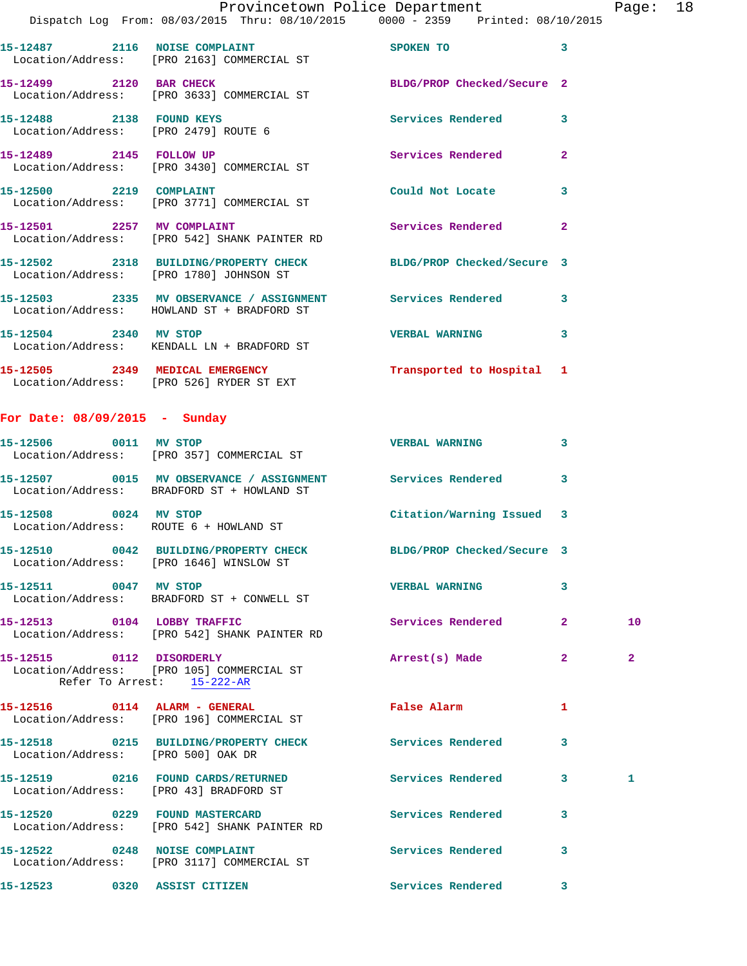| Provincetown Police Department |                                                                                |                            | Page: $18$ |  |  |
|--------------------------------|--------------------------------------------------------------------------------|----------------------------|------------|--|--|
|                                | Dispatch Log From: 08/03/2015 Thru: 08/10/2015 0000 - 2359 Printed: 08/10/2015 |                            |            |  |  |
| 15-12487<br>2116               | <b>NOISE COMPLAINT</b><br>Location/Address: [PRO 2163] COMMERCIAL ST           | SPOKEN TO                  |            |  |  |
| 15-12499<br>2120               | <b>BAR CHECK</b><br>Location/Address: [PRO 3633] COMMERCIAL ST                 | BLDG/PROP Checked/Secure 2 |            |  |  |

**15-12488 2138 FOUND KEYS Services Rendered 3**  Location/Address: [PRO 2479] ROUTE 6 **15-12489 2145 FOLLOW UP Services Rendered 2**  Location/Address: [PRO 3430] COMMERCIAL ST

**15-12500 2219 COMPLAINT Could Not Locate 3**  Location/Address: [PRO 3771] COMMERCIAL ST 15-12501 2257 MV COMPLAINT **15-12501 2257 Services Rendered** 2 Location/Address: [PRO 542] SHANK PAINTER RD

**15-12502 2318 BUILDING/PROPERTY CHECK BLDG/PROP Checked/Secure 3**  Location/Address: [PRO 1780] JOHNSON ST **15-12503 2335 MV OBSERVANCE / ASSIGNMENT Services Rendered 3**  Location/Address: HOWLAND ST + BRADFORD ST **15-12504 2340 MV STOP VERBAL WARNING 3**  Location/Address: KENDALL LN + BRADFORD ST

**15-12505 2349 MEDICAL EMERGENCY Transported to Hospital 1**  Location/Address: [PRO 526] RYDER ST EXT

## **For Date: 08/09/2015 - Sunday**

| 15-12506 0011 MV STOP                  | Location/Address: [PRO 357] COMMERCIAL ST                                                                   | <b>VERBAL WARNING</b>     | 3              |                |
|----------------------------------------|-------------------------------------------------------------------------------------------------------------|---------------------------|----------------|----------------|
|                                        | 15-12507 0015 MV OBSERVANCE / ASSIGNMENT Services Rendered 3<br>Location/Address: BRADFORD ST + HOWLAND ST  |                           |                |                |
| 15-12508 0024 MV STOP                  | Location/Address: ROUTE 6 + HOWLAND ST                                                                      | Citation/Warning Issued 3 |                |                |
|                                        | 15-12510 0042 BUILDING/PROPERTY CHECK BLDG/PROP Checked/Secure 3<br>Location/Address: [PRO 1646] WINSLOW ST |                           |                |                |
| 15-12511 0047 MV STOP                  | Location/Address: BRADFORD ST + CONWELL ST                                                                  | <b>VERBAL WARNING</b>     | 3              |                |
|                                        | 15-12513 0104 LOBBY TRAFFIC<br>Location/Address: [PRO 542] SHANK PAINTER RD                                 | Services Rendered         | $\overline{2}$ | 10             |
| Refer To Arrest: 15-222-AR             | 15-12515 0112 DISORDERLY<br>Location/Address: [PRO 105] COMMERCIAL ST                                       | Arrest(s) Made            | $\overline{2}$ | $\overline{2}$ |
|                                        | Location/Address: [PRO 196] COMMERCIAL ST                                                                   | <b>False Alarm</b>        | 1              |                |
| Location/Address: [PRO 500] OAK DR     | 15-12518 0215 BUILDING/PROPERTY CHECK Services Rendered                                                     |                           | 3              |                |
| Location/Address: [PRO 43] BRADFORD ST | 15-12519 0216 FOUND CARDS/RETURNED                                                                          | Services Rendered         | $\mathbf{3}$   | 1              |
|                                        | 15-12520 0229 FOUND MASTERCARD<br>Location/Address: [PRO 542] SHANK PAINTER RD                              | <b>Services Rendered</b>  | 3              |                |
|                                        | 15-12522 0248 NOISE COMPLAINT<br>Location/Address: [PRO 3117] COMMERCIAL ST                                 | Services Rendered         | $\overline{3}$ |                |
| 15-12523 0320 ASSIST CITIZEN           |                                                                                                             | <b>Services Rendered</b>  | 3              |                |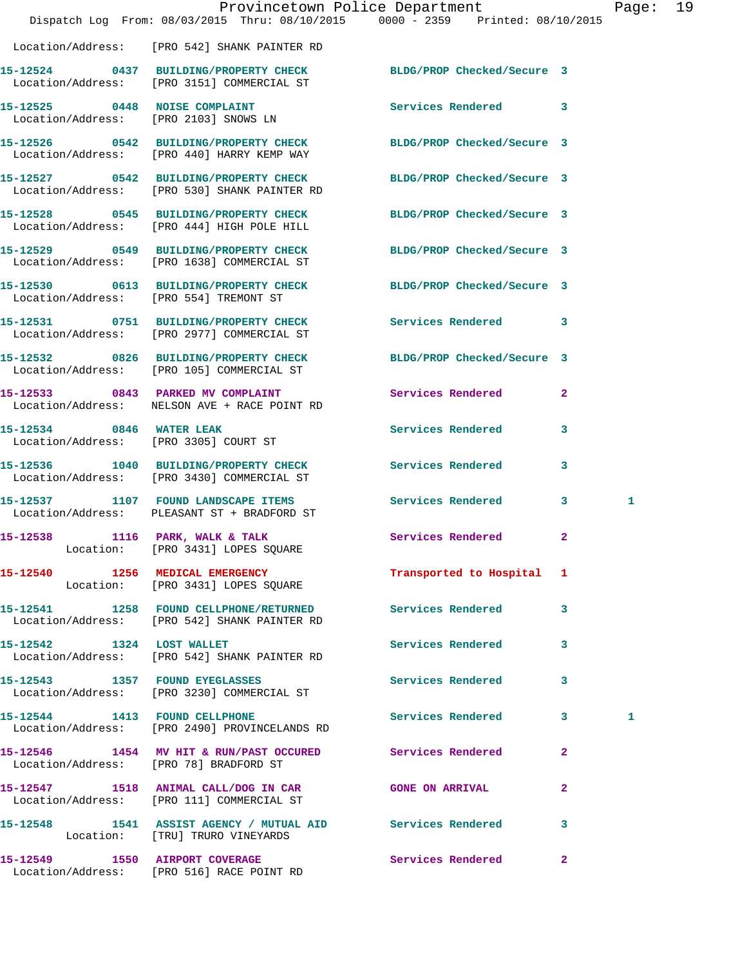|                                                                                                                  | Provincetown Police Department                                                 | Page: 19 |  |
|------------------------------------------------------------------------------------------------------------------|--------------------------------------------------------------------------------|----------|--|
|                                                                                                                  | Dispatch Log From: 08/03/2015 Thru: 08/10/2015 0000 - 2359 Printed: 08/10/2015 |          |  |
| Location/Address: [PRO 542] SHANK PAINTER RD                                                                     |                                                                                |          |  |
| 15-12524 0437 BUILDING/PROPERTY CHECK BLDG/PROP Checked/Secure 3<br>Location/Address: [PRO 3151] COMMERCIAL ST   |                                                                                |          |  |
| 15-12525 0448 NOISE COMPLAINT<br>Location/Address: [PRO 2103] SNOWS LN                                           | Services Rendered 3                                                            |          |  |
| 15-12526 0542 BUILDING/PROPERTY CHECK<br>Location/Address: [PRO 440] HARRY KEMP WAY                              | BLDG/PROP Checked/Secure 3                                                     |          |  |
| 15-12527 0542 BUILDING/PROPERTY CHECK BLDG/PROP Checked/Secure 3<br>Location/Address: [PRO 530] SHANK PAINTER RD |                                                                                |          |  |
| 15-12528 0545 BUILDING/PROPERTY CHECK<br>Location/Address: [PRO 444] HIGH POLE HILL                              | BLDG/PROP Checked/Secure 3                                                     |          |  |
| 15-12529 0549 BUILDING/PROPERTY CHECK<br>Location/Address: [PRO 1638] COMMERCIAL ST                              | BLDG/PROP Checked/Secure 3                                                     |          |  |
| 15-12530 0613 BUILDING/PROPERTY CHECK<br>Location/Address: [PRO 554] TREMONT ST                                  | BLDG/PROP Checked/Secure 3                                                     |          |  |
| 15-12531 0751 BUILDING/PROPERTY CHECK Services Rendered 3<br>Location/Address: [PRO 2977] COMMERCIAL ST          |                                                                                |          |  |
| 15-12532 0826 BUILDING/PROPERTY CHECK<br>Location/Address: [PRO 105] COMMERCIAL ST                               | BLDG/PROP Checked/Secure 3                                                     |          |  |
| 15-12533 0843 PARKED MV COMPLAINT<br>Location/Address: NELSON AVE + RACE POINT RD                                | Services Rendered<br>$\mathbf{2}$                                              |          |  |
| 15-12534 0846 WATER LEAK<br>Location/Address: [PRO 3305] COURT ST                                                | Services Rendered 3                                                            |          |  |
| 15-12536 1040 BUILDING/PROPERTY CHECK<br>Location/Address: [PRO 3430] COMMERCIAL ST                              | <b>Services Rendered</b><br>3                                                  |          |  |
| Location/Address: PLEASANT ST + BRADFORD ST                                                                      | 15-12537 1107 FOUND LANDSCAPE ITEMS Services Rendered 3                        | 1        |  |
| 15-12538 1116 PARK, WALK & TALK<br>Location: [PRO 3431] LOPES SQUARE                                             | Services Rendered<br>$\mathbf{2}$                                              |          |  |
| 15-12540 1256 MEDICAL EMERGENCY<br>Location: [PRO 3431] LOPES SQUARE                                             | Transported to Hospital 1                                                      |          |  |
| Location/Address: [PRO 542] SHANK PAINTER RD                                                                     | 15-12541 1258 FOUND CELLPHONE/RETURNED Services Rendered 3                     |          |  |
| 15-12542 1324 LOST WALLET<br>Location/Address: [PRO 542] SHANK PAINTER RD                                        | Services Rendered 3                                                            |          |  |
| 15-12543 1357 FOUND EYEGLASSES<br>Location/Address: [PRO 3230] COMMERCIAL ST                                     | Services Rendered 3                                                            |          |  |
| 15-12544 1413 FOUND CELLPHONE<br>Location/Address: [PRO 2490] PROVINCELANDS RD                                   | Services Rendered 3                                                            | 1        |  |
| 15-12546 1454 MV HIT & RUN/PAST OCCURED Services Rendered 2<br>Location/Address: [PRO 78] BRADFORD ST            |                                                                                |          |  |
| 15-12547 1518 ANIMAL CALL/DOG IN CAR GONE ON ARRIVAL 2<br>Location/Address: [PRO 111] COMMERCIAL ST              |                                                                                |          |  |
| 15-12548 1541 ASSIST AGENCY / MUTUAL AID Services Rendered<br>Location: [TRU] TRURO VINEYARDS                    | 3                                                                              |          |  |
| Location/Address: [PRO 516] RACE POINT RD                                                                        | 15-12549 1550 AIRPORT COVERAGE 15 Services Rendered 2                          |          |  |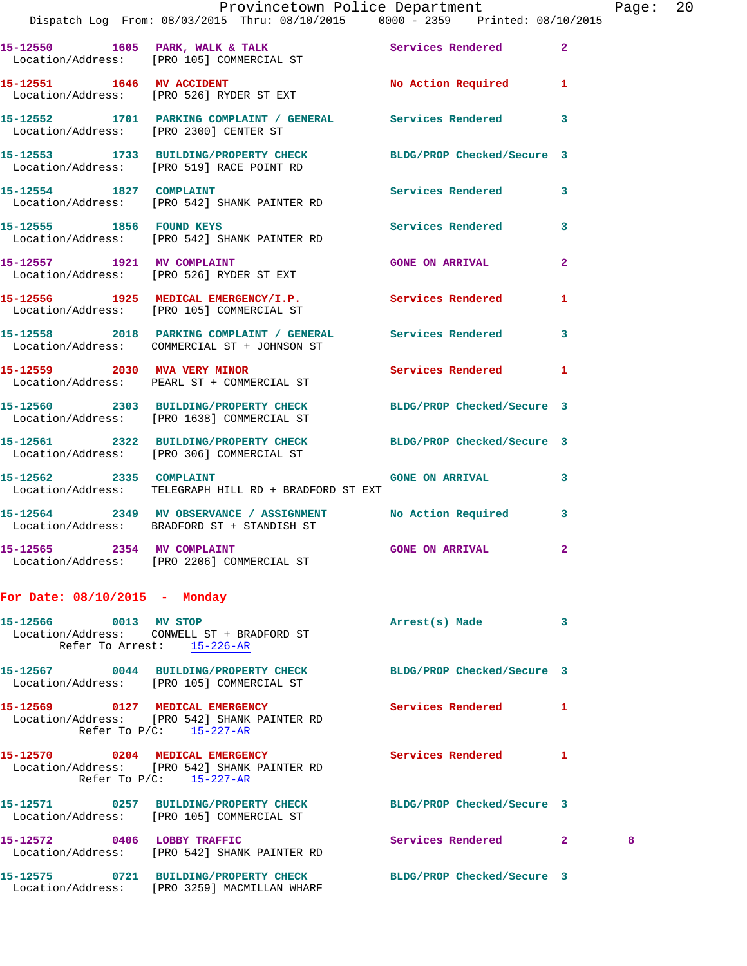|                                 | Provincetown Police Department The Page: 20<br>Dispatch Log From: 08/03/2015 Thru: 08/10/2015 0000 - 2359 Printed: 08/10/2015 |                            |              |   |  |
|---------------------------------|-------------------------------------------------------------------------------------------------------------------------------|----------------------------|--------------|---|--|
|                                 | 15-12550 1605 PARK, WALK & TALK STREET SERVICES Rendered 2<br>Location/Address: [PRO 105] COMMERCIAL ST                       |                            |              |   |  |
|                                 | 15-12551 1646 MV ACCIDENT<br>Location/Address: [PRO 526] RYDER ST EXT                                                         | No Action Required 1       |              |   |  |
|                                 | 15-12552 1701 PARKING COMPLAINT / GENERAL Services Rendered 3<br>Location/Address: [PRO 2300] CENTER ST                       |                            |              |   |  |
|                                 | 15-12553 1733 BUILDING/PROPERTY CHECK BLDG/PROP Checked/Secure 3<br>Location/Address: [PRO 519] RACE POINT RD                 |                            |              |   |  |
|                                 | 15-12554 1827 COMPLAINT Services Rendered<br>Location/Address: [PRO 542] SHANK PAINTER RD                                     |                            | 3            |   |  |
|                                 | 15-12555 1856 FOUND KEYS 15-12555<br>Location/Address: [PRO 542] SHANK PAINTER RD                                             |                            |              |   |  |
|                                 | 15-12557 1921 MV COMPLAINT GONE ON ARRIVAL<br>Location/Address: [PRO 526] RYDER ST EXT                                        |                            | $\mathbf{2}$ |   |  |
|                                 | 15-12556 1925 MEDICAL EMERGENCY/I.P. Services Rendered 1<br>Location/Address: [PRO 105] COMMERCIAL ST                         |                            |              |   |  |
|                                 | 15-12558 2018 PARKING COMPLAINT / GENERAL Services Rendered 3<br>Location/Address: COMMERCIAL ST + JOHNSON ST                 |                            |              |   |  |
|                                 | 15-12559 2030 MVA VERY MINOR 2008 Services Rendered 1<br>Location/Address: PEARL ST + COMMERCIAL ST                           |                            |              |   |  |
|                                 | 15-12560 2303 BUILDING/PROPERTY CHECK BLDG/PROP Checked/Secure 3<br>Location/Address: [PRO 1638] COMMERCIAL ST                |                            |              |   |  |
|                                 | 15-12561 2322 BUILDING/PROPERTY CHECK BLDG/PROP Checked/Secure 3<br>Location/Address: [PRO 306] COMMERCIAL ST                 |                            |              |   |  |
|                                 | 15-12562 2335 COMPLAINT COME ON ARRIVAL 3<br>Location/Address: TELEGRAPH HILL RD + BRADFORD ST EXT                            |                            |              |   |  |
|                                 | 15-12564 2349 MV OBSERVANCE / ASSIGNMENT No Action Required 3<br>Location/Address: BRADFORD ST + STANDISH ST                  |                            |              |   |  |
| 15-12565 2354 MV COMPLAINT      | Location/Address: [PRO 2206] COMMERCIAL ST                                                                                    | <b>GONE ON ARRIVAL</b>     | $\mathbf{2}$ |   |  |
| For Date: $08/10/2015$ - Monday |                                                                                                                               |                            |              |   |  |
|                                 | 15-12566 0013 MV STOP<br>Location/Address: CONWELL ST + BRADFORD ST<br>Refer To Arrest: 15-226-AR                             | Arrest(s) Made             | 3            |   |  |
|                                 | 15-12567 0044 BUILDING/PROPERTY CHECK BLDG/PROP Checked/Secure 3<br>Location/Address: [PRO 105] COMMERCIAL ST                 |                            |              |   |  |
|                                 | 15-12569 0127 MEDICAL EMERGENCY<br>Location/Address: [PRO 542] SHANK PAINTER RD<br>Refer To $P/C$ : 15-227-AR                 | <b>Services Rendered</b> 1 |              |   |  |
|                                 | 15-12570 0204 MEDICAL EMERGENCY<br>Location/Address: [PRO 542] SHANK PAINTER RD<br>Refer To $P/C$ : 15-227-AR                 | <b>Services Rendered</b> 1 |              |   |  |
|                                 | 15-12571 0257 BUILDING/PROPERTY CHECK BLDG/PROP Checked/Secure 3<br>Location/Address: [PRO 105] COMMERCIAL ST                 |                            |              |   |  |
|                                 | 15-12572 0406 LOBBY TRAFFIC<br>Location/Address: [PRO 542] SHANK PAINTER RD                                                   | Services Rendered 2        |              | 8 |  |
|                                 | 15-12575 0721 BUILDING/PROPERTY CHECK BLDG/PROP Checked/Secure 3<br>Location/Address: [PRO 3259] MACMILLAN WHARF              |                            |              |   |  |